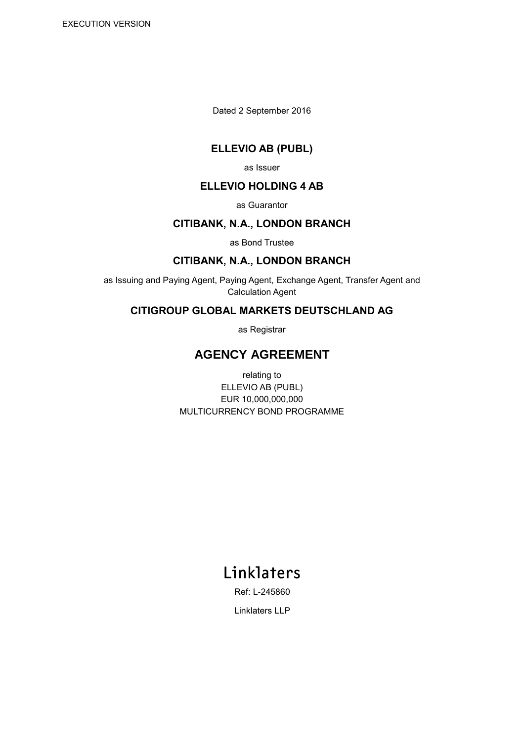Dated 2 September 2016

# **ELLEVIO AB (PUBL)**

as Issuer

## **ELLEVIO HOLDING 4 AB**

as Guarantor

#### **CITIBANK, N.A., LONDON BRANCH**

as Bond Trustee

# **CITIBANK, N.A., LONDON BRANCH**

as Issuing and Paying Agent, Paying Agent, Exchange Agent, Transfer Agent and Calculation Agent

# **CITIGROUP GLOBAL MARKETS DEUTSCHLAND AG**

as Registrar

# **AGENCY AGREEMENT**

relating to ELLEVIO AB (PUBL) EUR 10,000,000,000 MULTICURRENCY BOND PROGRAMME

# Linklaters

Ref: L-245860

Linklaters LLP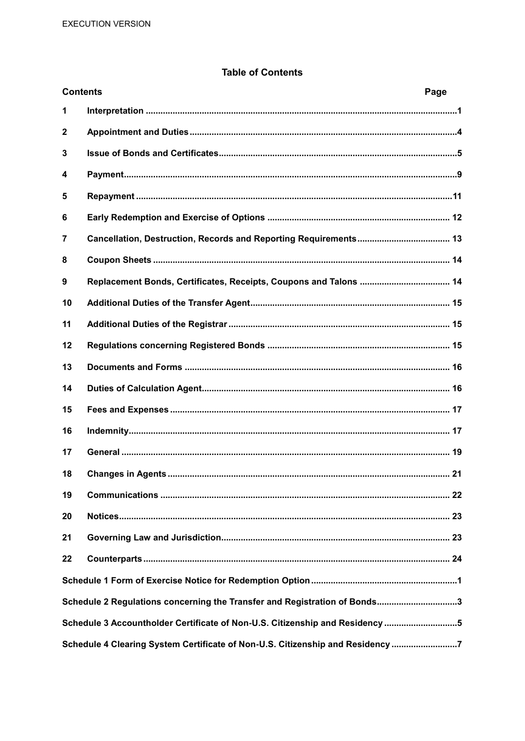## **Table of Contents**

| <b>Contents</b> |                                                                                | Page |
|-----------------|--------------------------------------------------------------------------------|------|
| 1               |                                                                                |      |
| 2               |                                                                                |      |
| 3               |                                                                                |      |
| 4               |                                                                                |      |
| 5               |                                                                                |      |
| 6               |                                                                                |      |
| 7               |                                                                                |      |
| 8               |                                                                                |      |
| 9               |                                                                                |      |
| 10              |                                                                                |      |
| 11              |                                                                                |      |
| 12              |                                                                                |      |
| 13              |                                                                                |      |
| 14              |                                                                                |      |
| 15              |                                                                                |      |
| 16              |                                                                                |      |
| 17              |                                                                                |      |
| 18              |                                                                                |      |
| 19              |                                                                                |      |
| 20              |                                                                                |      |
| 21              |                                                                                |      |
| 22              |                                                                                |      |
|                 |                                                                                |      |
|                 | Schedule 2 Regulations concerning the Transfer and Registration of Bonds3      |      |
|                 | Schedule 3 Accountholder Certificate of Non-U.S. Citizenship and Residency 5   |      |
|                 | Schedule 4 Clearing System Certificate of Non-U.S. Citizenship and Residency 7 |      |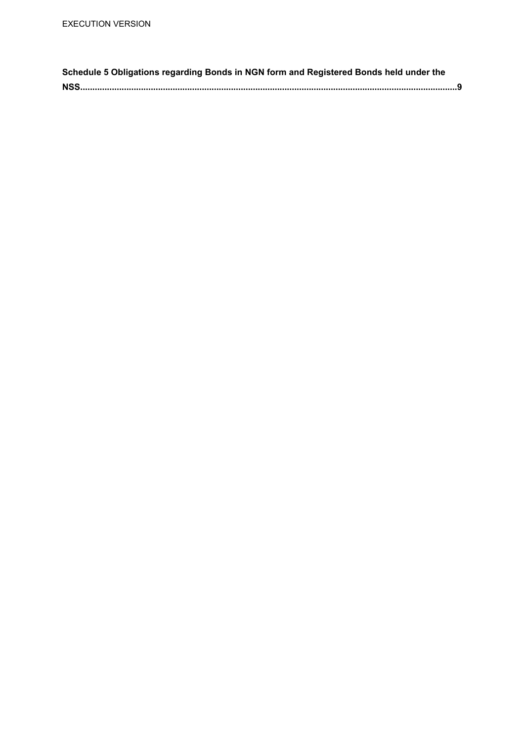| Schedule 5 Obligations regarding Bonds in NGN form and Registered Bonds held under the |  |
|----------------------------------------------------------------------------------------|--|
|                                                                                        |  |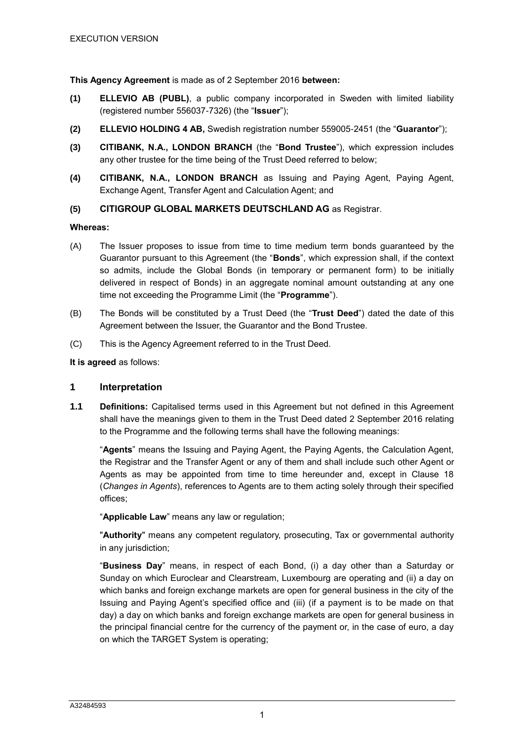**This Agency Agreement** is made as of 2 September 2016 **between:**

- **(1) ELLEVIO AB (PUBL)**, a public company incorporated in Sweden with limited liability (registered number 556037-7326) (the "**Issuer**");
- **(2) ELLEVIO HOLDING 4 AB,** Swedish registration number 559005-2451 (the "**Guarantor**");
- **(3) CITIBANK, N.A., LONDON BRANCH** (the "**Bond Trustee**"), which expression includes any other trustee for the time being of the Trust Deed referred to below;
- **(4) CITIBANK, N.A., LONDON BRANCH** as Issuing and Paying Agent, Paying Agent, Exchange Agent, Transfer Agent and Calculation Agent; and

#### **(5) CITIGROUP GLOBAL MARKETS DEUTSCHLAND AG** as Registrar.

#### **Whereas:**

- (A) The Issuer proposes to issue from time to time medium term bonds guaranteed by the Guarantor pursuant to this Agreement (the "**Bonds**", which expression shall, if the context so admits, include the Global Bonds (in temporary or permanent form) to be initially delivered in respect of Bonds) in an aggregate nominal amount outstanding at any one time not exceeding the Programme Limit (the "**Programme**").
- (B) The Bonds will be constituted by a Trust Deed (the "**Trust Deed**") dated the date of this Agreement between the Issuer, the Guarantor and the Bond Trustee.
- (C) This is the Agency Agreement referred to in the Trust Deed.

#### **It is agreed** as follows:

#### **1 Interpretation**

**1.1 Definitions:** Capitalised terms used in this Agreement but not defined in this Agreement shall have the meanings given to them in the Trust Deed dated 2 September 2016 relating to the Programme and the following terms shall have the following meanings:

"**Agents**" means the Issuing and Paying Agent, the Paying Agents, the Calculation Agent, the Registrar and the Transfer Agent or any of them and shall include such other Agent or Agents as may be appointed from time to time hereunder and, except in Clause 18 (*Changes in Agents*), references to Agents are to them acting solely through their specified offices;

"**Applicable Law**" means any law or regulation;

"**Authority**" means any competent regulatory, prosecuting, Tax or governmental authority in any jurisdiction;

"**Business Day**" means, in respect of each Bond, (i) a day other than a Saturday or Sunday on which Euroclear and Clearstream, Luxembourg are operating and (ii) a day on which banks and foreign exchange markets are open for general business in the city of the Issuing and Paying Agent's specified office and (iii) (if a payment is to be made on that day) a day on which banks and foreign exchange markets are open for general business in the principal financial centre for the currency of the payment or, in the case of euro, a day on which the TARGET System is operating;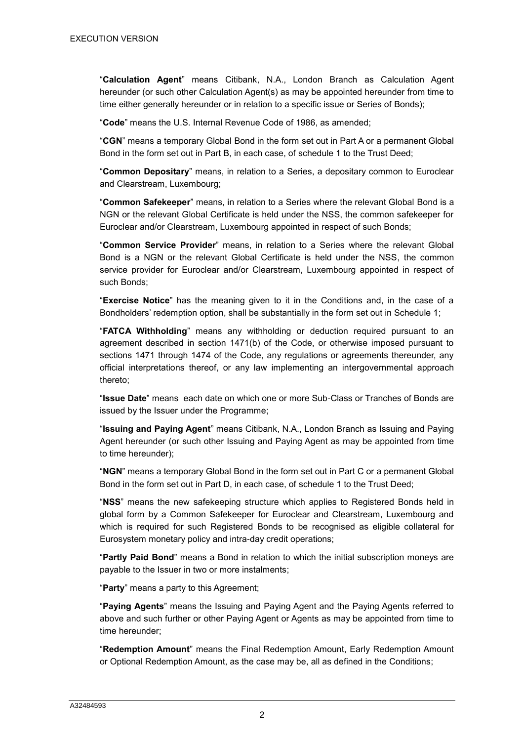"**Calculation Agent**" means Citibank, N.A., London Branch as Calculation Agent hereunder (or such other Calculation Agent(s) as may be appointed hereunder from time to time either generally hereunder or in relation to a specific issue or Series of Bonds);

"**Code**" means the U.S. Internal Revenue Code of 1986, as amended;

"**CGN**" means a temporary Global Bond in the form set out in Part A or a permanent Global Bond in the form set out in Part B, in each case, of schedule 1 to the Trust Deed;

"**Common Depositary**" means, in relation to a Series, a depositary common to Euroclear and Clearstream, Luxembourg;

"**Common Safekeeper**" means, in relation to a Series where the relevant Global Bond is a NGN or the relevant Global Certificate is held under the NSS, the common safekeeper for Euroclear and/or Clearstream, Luxembourg appointed in respect of such Bonds;

"**Common Service Provider**" means, in relation to a Series where the relevant Global Bond is a NGN or the relevant Global Certificate is held under the NSS, the common service provider for Euroclear and/or Clearstream, Luxembourg appointed in respect of such Bonds;

"**Exercise Notice**" has the meaning given to it in the Conditions and, in the case of a Bondholders' redemption option, shall be substantially in the form set out in Schedule 1;

"**FATCA Withholding**" means any withholding or deduction required pursuant to an agreement described in section 1471(b) of the Code, or otherwise imposed pursuant to sections 1471 through 1474 of the Code, any regulations or agreements thereunder, any official interpretations thereof, or any law implementing an intergovernmental approach thereto;

"**Issue Date**" means each date on which one or more Sub-Class or Tranches of Bonds are issued by the Issuer under the Programme;

"**Issuing and Paying Agent**" means Citibank, N.A., London Branch as Issuing and Paying Agent hereunder (or such other Issuing and Paying Agent as may be appointed from time to time hereunder);

"**NGN**" means a temporary Global Bond in the form set out in Part C or a permanent Global Bond in the form set out in Part D, in each case, of schedule 1 to the Trust Deed;

"**NSS**" means the new safekeeping structure which applies to Registered Bonds held in global form by a Common Safekeeper for Euroclear and Clearstream, Luxembourg and which is required for such Registered Bonds to be recognised as eligible collateral for Eurosystem monetary policy and intra-day credit operations;

"**Partly Paid Bond**" means a Bond in relation to which the initial subscription moneys are payable to the Issuer in two or more instalments;

"**Party**" means a party to this Agreement;

"**Paying Agents**" means the Issuing and Paying Agent and the Paying Agents referred to above and such further or other Paying Agent or Agents as may be appointed from time to time hereunder;

"**Redemption Amount**" means the Final Redemption Amount, Early Redemption Amount or Optional Redemption Amount, as the case may be, all as defined in the Conditions;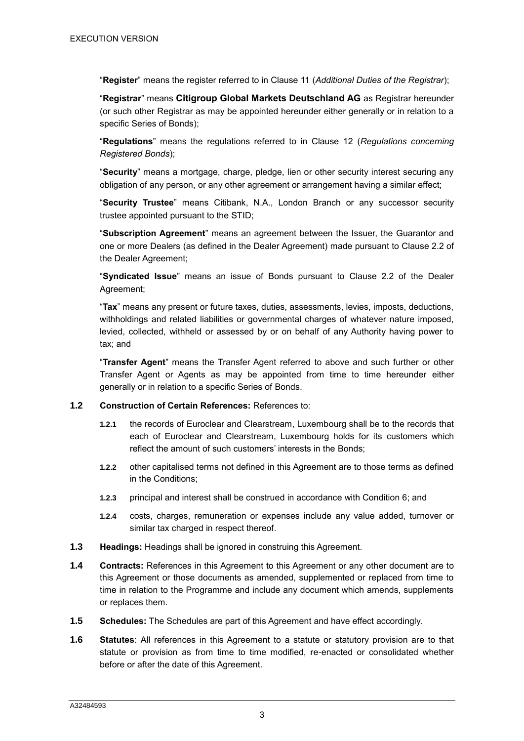"**Register**" means the register referred to in Clause 11 (*Additional Duties of the Registrar*);

"**Registrar**" means **Citigroup Global Markets Deutschland AG** as Registrar hereunder (or such other Registrar as may be appointed hereunder either generally or in relation to a specific Series of Bonds);

"**Regulations**" means the regulations referred to in Clause 12 (*Regulations concerning Registered Bonds*);

"**Security**" means a mortgage, charge, pledge, lien or other security interest securing any obligation of any person, or any other agreement or arrangement having a similar effect;

"**Security Trustee**" means Citibank, N.A., London Branch or any successor security trustee appointed pursuant to the STID;

"**Subscription Agreement**" means an agreement between the Issuer, the Guarantor and one or more Dealers (as defined in the Dealer Agreement) made pursuant to Clause 2.2 of the Dealer Agreement;

"**Syndicated Issue**" means an issue of Bonds pursuant to Clause 2.2 of the Dealer Agreement;

"**Tax**" means any present or future taxes, duties, assessments, levies, imposts, deductions, withholdings and related liabilities or governmental charges of whatever nature imposed, levied, collected, withheld or assessed by or on behalf of any Authority having power to tax; and

"**Transfer Agent**" means the Transfer Agent referred to above and such further or other Transfer Agent or Agents as may be appointed from time to time hereunder either generally or in relation to a specific Series of Bonds.

#### **1.2 Construction of Certain References:** References to:

- **1.2.1** the records of Euroclear and Clearstream, Luxembourg shall be to the records that each of Euroclear and Clearstream, Luxembourg holds for its customers which reflect the amount of such customers' interests in the Bonds;
- **1.2.2** other capitalised terms not defined in this Agreement are to those terms as defined in the Conditions;
- **1.2.3** principal and interest shall be construed in accordance with Condition 6; and
- **1.2.4** costs, charges, remuneration or expenses include any value added, turnover or similar tax charged in respect thereof.
- **1.3 Headings:** Headings shall be ignored in construing this Agreement.
- **1.4 Contracts:** References in this Agreement to this Agreement or any other document are to this Agreement or those documents as amended, supplemented or replaced from time to time in relation to the Programme and include any document which amends, supplements or replaces them.
- **1.5 Schedules:** The Schedules are part of this Agreement and have effect accordingly.
- **1.6 Statutes**: All references in this Agreement to a statute or statutory provision are to that statute or provision as from time to time modified, re-enacted or consolidated whether before or after the date of this Agreement.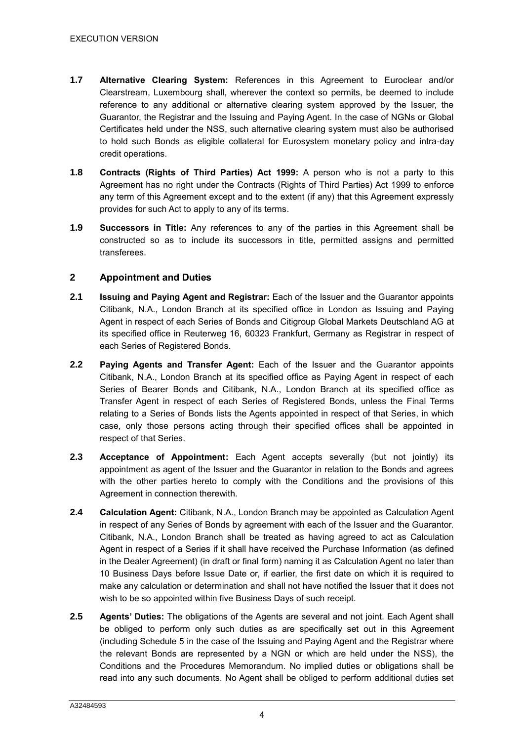- **1.7 Alternative Clearing System:** References in this Agreement to Euroclear and/or Clearstream, Luxembourg shall, wherever the context so permits, be deemed to include reference to any additional or alternative clearing system approved by the Issuer, the Guarantor, the Registrar and the Issuing and Paying Agent. In the case of NGNs or Global Certificates held under the NSS, such alternative clearing system must also be authorised to hold such Bonds as eligible collateral for Eurosystem monetary policy and intra-day credit operations.
- **1.8 Contracts (Rights of Third Parties) Act 1999:** A person who is not a party to this Agreement has no right under the Contracts (Rights of Third Parties) Act 1999 to enforce any term of this Agreement except and to the extent (if any) that this Agreement expressly provides for such Act to apply to any of its terms.
- **1.9 Successors in Title:** Any references to any of the parties in this Agreement shall be constructed so as to include its successors in title, permitted assigns and permitted transferees.

# **2 Appointment and Duties**

- **2.1 Issuing and Paying Agent and Registrar:** Each of the Issuer and the Guarantor appoints Citibank, N.A., London Branch at its specified office in London as Issuing and Paying Agent in respect of each Series of Bonds and Citigroup Global Markets Deutschland AG at its specified office in Reuterweg 16, 60323 Frankfurt, Germany as Registrar in respect of each Series of Registered Bonds.
- **2.2 Paying Agents and Transfer Agent:** Each of the Issuer and the Guarantor appoints Citibank, N.A., London Branch at its specified office as Paying Agent in respect of each Series of Bearer Bonds and Citibank, N.A., London Branch at its specified office as Transfer Agent in respect of each Series of Registered Bonds, unless the Final Terms relating to a Series of Bonds lists the Agents appointed in respect of that Series, in which case, only those persons acting through their specified offices shall be appointed in respect of that Series.
- **2.3 Acceptance of Appointment:** Each Agent accepts severally (but not jointly) its appointment as agent of the Issuer and the Guarantor in relation to the Bonds and agrees with the other parties hereto to comply with the Conditions and the provisions of this Agreement in connection therewith.
- **2.4 Calculation Agent:** Citibank, N.A., London Branch may be appointed as Calculation Agent in respect of any Series of Bonds by agreement with each of the Issuer and the Guarantor. Citibank, N.A., London Branch shall be treated as having agreed to act as Calculation Agent in respect of a Series if it shall have received the Purchase Information (as defined in the Dealer Agreement) (in draft or final form) naming it as Calculation Agent no later than 10 Business Days before Issue Date or, if earlier, the first date on which it is required to make any calculation or determination and shall not have notified the Issuer that it does not wish to be so appointed within five Business Days of such receipt.
- **2.5 Agents' Duties:** The obligations of the Agents are several and not joint. Each Agent shall be obliged to perform only such duties as are specifically set out in this Agreement (including Schedule 5 in the case of the Issuing and Paying Agent and the Registrar where the relevant Bonds are represented by a NGN or which are held under the NSS), the Conditions and the Procedures Memorandum. No implied duties or obligations shall be read into any such documents. No Agent shall be obliged to perform additional duties set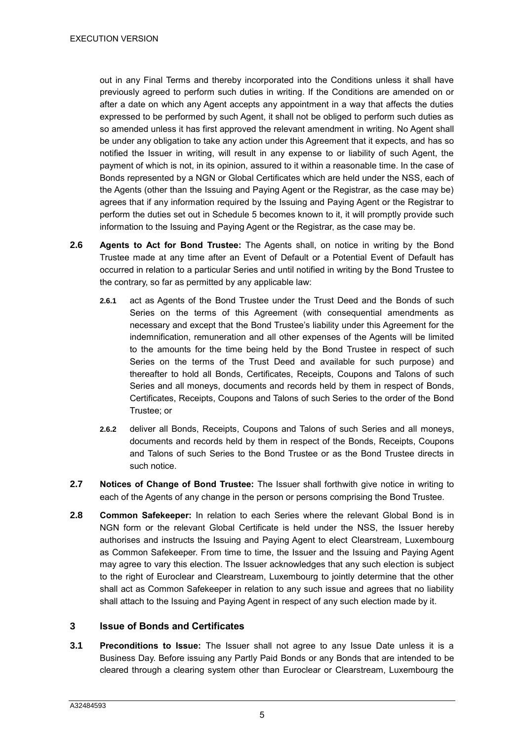out in any Final Terms and thereby incorporated into the Conditions unless it shall have previously agreed to perform such duties in writing. If the Conditions are amended on or after a date on which any Agent accepts any appointment in a way that affects the duties expressed to be performed by such Agent, it shall not be obliged to perform such duties as so amended unless it has first approved the relevant amendment in writing. No Agent shall be under any obligation to take any action under this Agreement that it expects, and has so notified the Issuer in writing, will result in any expense to or liability of such Agent, the payment of which is not, in its opinion, assured to it within a reasonable time. In the case of Bonds represented by a NGN or Global Certificates which are held under the NSS, each of the Agents (other than the Issuing and Paying Agent or the Registrar, as the case may be) agrees that if any information required by the Issuing and Paying Agent or the Registrar to perform the duties set out in Schedule 5 becomes known to it, it will promptly provide such information to the Issuing and Paying Agent or the Registrar, as the case may be.

- **2.6 Agents to Act for Bond Trustee:** The Agents shall, on notice in writing by the Bond Trustee made at any time after an Event of Default or a Potential Event of Default has occurred in relation to a particular Series and until notified in writing by the Bond Trustee to the contrary, so far as permitted by any applicable law:
	- **2.6.1** act as Agents of the Bond Trustee under the Trust Deed and the Bonds of such Series on the terms of this Agreement (with consequential amendments as necessary and except that the Bond Trustee's liability under this Agreement for the indemnification, remuneration and all other expenses of the Agents will be limited to the amounts for the time being held by the Bond Trustee in respect of such Series on the terms of the Trust Deed and available for such purpose) and thereafter to hold all Bonds, Certificates, Receipts, Coupons and Talons of such Series and all moneys, documents and records held by them in respect of Bonds, Certificates, Receipts, Coupons and Talons of such Series to the order of the Bond Trustee; or
	- **2.6.2** deliver all Bonds, Receipts, Coupons and Talons of such Series and all moneys, documents and records held by them in respect of the Bonds, Receipts, Coupons and Talons of such Series to the Bond Trustee or as the Bond Trustee directs in such notice.
- **2.7 Notices of Change of Bond Trustee:** The Issuer shall forthwith give notice in writing to each of the Agents of any change in the person or persons comprising the Bond Trustee.
- **2.8 Common Safekeeper:** In relation to each Series where the relevant Global Bond is in NGN form or the relevant Global Certificate is held under the NSS, the Issuer hereby authorises and instructs the Issuing and Paying Agent to elect Clearstream, Luxembourg as Common Safekeeper. From time to time, the Issuer and the Issuing and Paying Agent may agree to vary this election. The Issuer acknowledges that any such election is subject to the right of Euroclear and Clearstream, Luxembourg to jointly determine that the other shall act as Common Safekeeper in relation to any such issue and agrees that no liability shall attach to the Issuing and Paying Agent in respect of any such election made by it.

#### <span id="page-7-0"></span>**3 Issue of Bonds and Certificates**

**3.1 Preconditions to Issue:** The Issuer shall not agree to any Issue Date unless it is a Business Day. Before issuing any Partly Paid Bonds or any Bonds that are intended to be cleared through a clearing system other than Euroclear or Clearstream, Luxembourg the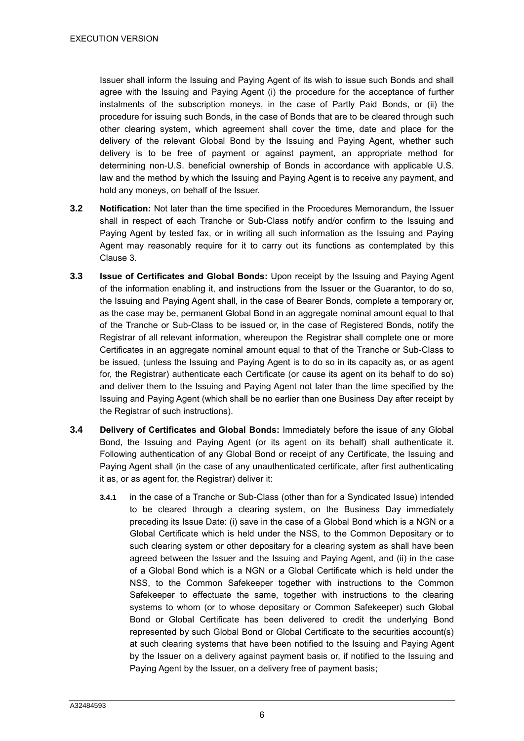Issuer shall inform the Issuing and Paying Agent of its wish to issue such Bonds and shall agree with the Issuing and Paying Agent (i) the procedure for the acceptance of further instalments of the subscription moneys, in the case of Partly Paid Bonds, or (ii) the procedure for issuing such Bonds, in the case of Bonds that are to be cleared through such other clearing system, which agreement shall cover the time, date and place for the delivery of the relevant Global Bond by the Issuing and Paying Agent, whether such delivery is to be free of payment or against payment, an appropriate method for determining non-U.S. beneficial ownership of Bonds in accordance with applicable U.S. law and the method by which the Issuing and Paying Agent is to receive any payment, and hold any moneys, on behalf of the Issuer.

- **3.2 Notification:** Not later than the time specified in the Procedures Memorandum, the Issuer shall in respect of each Tranche or Sub-Class notify and/or confirm to the Issuing and Paying Agent by tested fax, or in writing all such information as the Issuing and Paying Agent may reasonably require for it to carry out its functions as contemplated by this Clause [3.](#page-7-0)
- **3.3 Issue of Certificates and Global Bonds:** Upon receipt by the Issuing and Paying Agent of the information enabling it, and instructions from the Issuer or the Guarantor, to do so, the Issuing and Paying Agent shall, in the case of Bearer Bonds, complete a temporary or, as the case may be, permanent Global Bond in an aggregate nominal amount equal to that of the Tranche or Sub-Class to be issued or, in the case of Registered Bonds, notify the Registrar of all relevant information, whereupon the Registrar shall complete one or more Certificates in an aggregate nominal amount equal to that of the Tranche or Sub-Class to be issued, (unless the Issuing and Paying Agent is to do so in its capacity as, or as agent for, the Registrar) authenticate each Certificate (or cause its agent on its behalf to do so) and deliver them to the Issuing and Paying Agent not later than the time specified by the Issuing and Paying Agent (which shall be no earlier than one Business Day after receipt by the Registrar of such instructions).
- **3.4 Delivery of Certificates and Global Bonds:** Immediately before the issue of any Global Bond, the Issuing and Paying Agent (or its agent on its behalf) shall authenticate it. Following authentication of any Global Bond or receipt of any Certificate, the Issuing and Paying Agent shall (in the case of any unauthenticated certificate, after first authenticating it as, or as agent for, the Registrar) deliver it:
	- **3.4.1** in the case of a Tranche or Sub-Class (other than for a Syndicated Issue) intended to be cleared through a clearing system, on the Business Day immediately preceding its Issue Date: (i) save in the case of a Global Bond which is a NGN or a Global Certificate which is held under the NSS, to the Common Depositary or to such clearing system or other depositary for a clearing system as shall have been agreed between the Issuer and the Issuing and Paying Agent, and (ii) in the case of a Global Bond which is a NGN or a Global Certificate which is held under the NSS, to the Common Safekeeper together with instructions to the Common Safekeeper to effectuate the same, together with instructions to the clearing systems to whom (or to whose depositary or Common Safekeeper) such Global Bond or Global Certificate has been delivered to credit the underlying Bond represented by such Global Bond or Global Certificate to the securities account(s) at such clearing systems that have been notified to the Issuing and Paying Agent by the Issuer on a delivery against payment basis or, if notified to the Issuing and Paying Agent by the Issuer, on a delivery free of payment basis;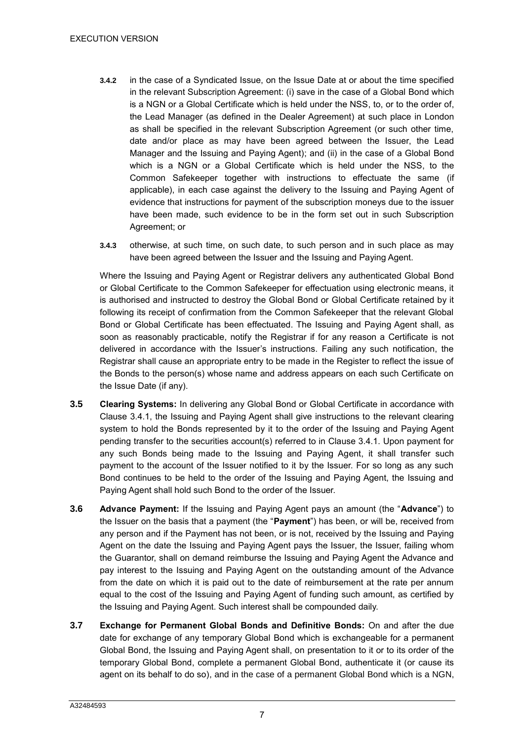- **3.4.2** in the case of a Syndicated Issue, on the Issue Date at or about the time specified in the relevant Subscription Agreement: (i) save in the case of a Global Bond which is a NGN or a Global Certificate which is held under the NSS, to, or to the order of, the Lead Manager (as defined in the Dealer Agreement) at such place in London as shall be specified in the relevant Subscription Agreement (or such other time, date and/or place as may have been agreed between the Issuer, the Lead Manager and the Issuing and Paying Agent); and (ii) in the case of a Global Bond which is a NGN or a Global Certificate which is held under the NSS, to the Common Safekeeper together with instructions to effectuate the same (if applicable), in each case against the delivery to the Issuing and Paying Agent of evidence that instructions for payment of the subscription moneys due to the issuer have been made, such evidence to be in the form set out in such Subscription Agreement; or
- **3.4.3** otherwise, at such time, on such date, to such person and in such place as may have been agreed between the Issuer and the Issuing and Paying Agent.

Where the Issuing and Paying Agent or Registrar delivers any authenticated Global Bond or Global Certificate to the Common Safekeeper for effectuation using electronic means, it is authorised and instructed to destroy the Global Bond or Global Certificate retained by it following its receipt of confirmation from the Common Safekeeper that the relevant Global Bond or Global Certificate has been effectuated. The Issuing and Paying Agent shall, as soon as reasonably practicable, notify the Registrar if for any reason a Certificate is not delivered in accordance with the Issuer's instructions. Failing any such notification, the Registrar shall cause an appropriate entry to be made in the Register to reflect the issue of the Bonds to the person(s) whose name and address appears on each such Certificate on the Issue Date (if any).

- **3.5 Clearing Systems:** In delivering any Global Bond or Global Certificate in accordance with Clause 3.4.1, the Issuing and Paying Agent shall give instructions to the relevant clearing system to hold the Bonds represented by it to the order of the Issuing and Paying Agent pending transfer to the securities account(s) referred to in Clause 3.4.1. Upon payment for any such Bonds being made to the Issuing and Paying Agent, it shall transfer such payment to the account of the Issuer notified to it by the Issuer. For so long as any such Bond continues to be held to the order of the Issuing and Paying Agent, the Issuing and Paying Agent shall hold such Bond to the order of the Issuer.
- **3.6 Advance Payment:** If the Issuing and Paying Agent pays an amount (the "**Advance**") to the Issuer on the basis that a payment (the "**Payment**") has been, or will be, received from any person and if the Payment has not been, or is not, received by the Issuing and Paying Agent on the date the Issuing and Paying Agent pays the Issuer, the Issuer, failing whom the Guarantor, shall on demand reimburse the Issuing and Paying Agent the Advance and pay interest to the Issuing and Paying Agent on the outstanding amount of the Advance from the date on which it is paid out to the date of reimbursement at the rate per annum equal to the cost of the Issuing and Paying Agent of funding such amount, as certified by the Issuing and Paying Agent. Such interest shall be compounded daily.
- **3.7 Exchange for Permanent Global Bonds and Definitive Bonds:** On and after the due date for exchange of any temporary Global Bond which is exchangeable for a permanent Global Bond, the Issuing and Paying Agent shall, on presentation to it or to its order of the temporary Global Bond, complete a permanent Global Bond, authenticate it (or cause its agent on its behalf to do so), and in the case of a permanent Global Bond which is a NGN,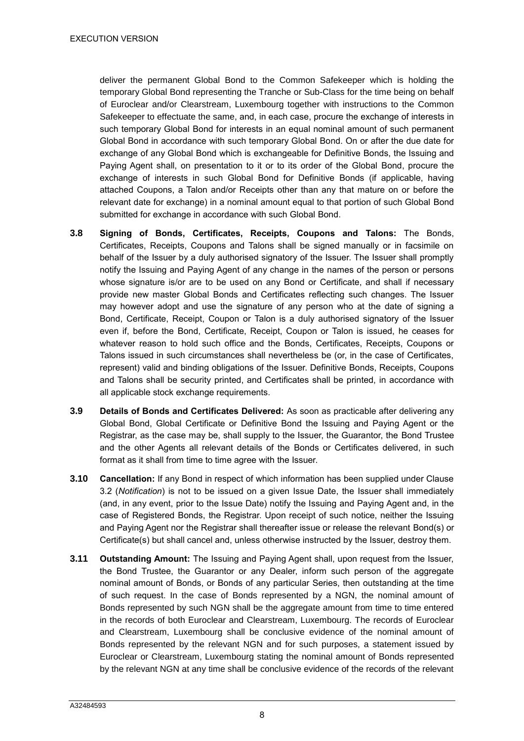deliver the permanent Global Bond to the Common Safekeeper which is holding the temporary Global Bond representing the Tranche or Sub-Class for the time being on behalf of Euroclear and/or Clearstream, Luxembourg together with instructions to the Common Safekeeper to effectuate the same, and, in each case, procure the exchange of interests in such temporary Global Bond for interests in an equal nominal amount of such permanent Global Bond in accordance with such temporary Global Bond. On or after the due date for exchange of any Global Bond which is exchangeable for Definitive Bonds, the Issuing and Paying Agent shall, on presentation to it or to its order of the Global Bond, procure the exchange of interests in such Global Bond for Definitive Bonds (if applicable, having attached Coupons, a Talon and/or Receipts other than any that mature on or before the relevant date for exchange) in a nominal amount equal to that portion of such Global Bond submitted for exchange in accordance with such Global Bond.

- **3.8 Signing of Bonds, Certificates, Receipts, Coupons and Talons:** The Bonds, Certificates, Receipts, Coupons and Talons shall be signed manually or in facsimile on behalf of the Issuer by a duly authorised signatory of the Issuer. The Issuer shall promptly notify the Issuing and Paying Agent of any change in the names of the person or persons whose signature is/or are to be used on any Bond or Certificate, and shall if necessary provide new master Global Bonds and Certificates reflecting such changes. The Issuer may however adopt and use the signature of any person who at the date of signing a Bond, Certificate, Receipt, Coupon or Talon is a duly authorised signatory of the Issuer even if, before the Bond, Certificate, Receipt, Coupon or Talon is issued, he ceases for whatever reason to hold such office and the Bonds, Certificates, Receipts, Coupons or Talons issued in such circumstances shall nevertheless be (or, in the case of Certificates, represent) valid and binding obligations of the Issuer. Definitive Bonds, Receipts, Coupons and Talons shall be security printed, and Certificates shall be printed, in accordance with all applicable stock exchange requirements.
- **3.9 Details of Bonds and Certificates Delivered:** As soon as practicable after delivering any Global Bond, Global Certificate or Definitive Bond the Issuing and Paying Agent or the Registrar, as the case may be, shall supply to the Issuer, the Guarantor, the Bond Trustee and the other Agents all relevant details of the Bonds or Certificates delivered, in such format as it shall from time to time agree with the Issuer.
- **3.10 Cancellation:** If any Bond in respect of which information has been supplied under Clause 3.2 (*Notification*) is not to be issued on a given Issue Date, the Issuer shall immediately (and, in any event, prior to the Issue Date) notify the Issuing and Paying Agent and, in the case of Registered Bonds, the Registrar. Upon receipt of such notice, neither the Issuing and Paying Agent nor the Registrar shall thereafter issue or release the relevant Bond(s) or Certificate(s) but shall cancel and, unless otherwise instructed by the Issuer, destroy them.
- **3.11 Outstanding Amount:** The Issuing and Paying Agent shall, upon request from the Issuer, the Bond Trustee, the Guarantor or any Dealer, inform such person of the aggregate nominal amount of Bonds, or Bonds of any particular Series, then outstanding at the time of such request. In the case of Bonds represented by a NGN, the nominal amount of Bonds represented by such NGN shall be the aggregate amount from time to time entered in the records of both Euroclear and Clearstream, Luxembourg. The records of Euroclear and Clearstream, Luxembourg shall be conclusive evidence of the nominal amount of Bonds represented by the relevant NGN and for such purposes, a statement issued by Euroclear or Clearstream, Luxembourg stating the nominal amount of Bonds represented by the relevant NGN at any time shall be conclusive evidence of the records of the relevant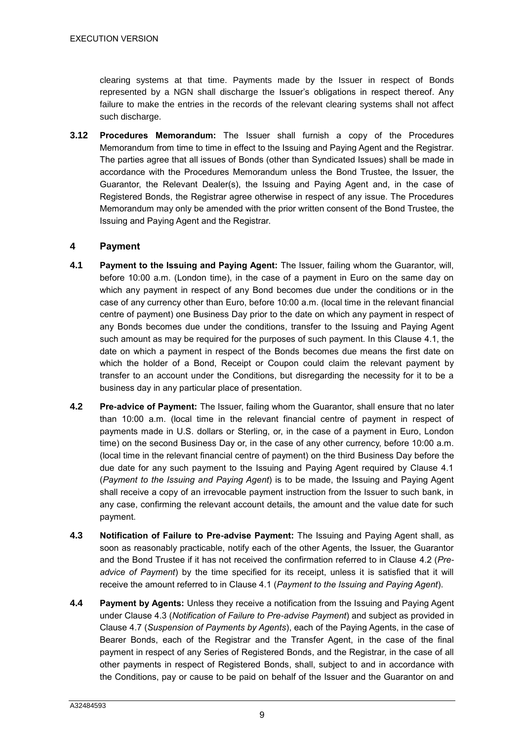clearing systems at that time. Payments made by the Issuer in respect of Bonds represented by a NGN shall discharge the Issuer's obligations in respect thereof. Any failure to make the entries in the records of the relevant clearing systems shall not affect such discharge.

**3.12 Procedures Memorandum:** The Issuer shall furnish a copy of the Procedures Memorandum from time to time in effect to the Issuing and Paying Agent and the Registrar. The parties agree that all issues of Bonds (other than Syndicated Issues) shall be made in accordance with the Procedures Memorandum unless the Bond Trustee, the Issuer, the Guarantor, the Relevant Dealer(s), the Issuing and Paying Agent and, in the case of Registered Bonds, the Registrar agree otherwise in respect of any issue. The Procedures Memorandum may only be amended with the prior written consent of the Bond Trustee, the Issuing and Paying Agent and the Registrar.

#### **4 Payment**

- <span id="page-11-0"></span>**4.1 Payment to the Issuing and Paying Agent:** The Issuer, failing whom the Guarantor, will, before 10:00 a.m. (London time), in the case of a payment in Euro on the same day on which any payment in respect of any Bond becomes due under the conditions or in the case of any currency other than Euro, before 10:00 a.m. (local time in the relevant financial centre of payment) one Business Day prior to the date on which any payment in respect of any Bonds becomes due under the conditions, transfer to the Issuing and Paying Agent such amount as may be required for the purposes of such payment. In this Clause [4.1,](#page-11-0) the date on which a payment in respect of the Bonds becomes due means the first date on which the holder of a Bond, Receipt or Coupon could claim the relevant payment by transfer to an account under the Conditions, but disregarding the necessity for it to be a business day in any particular place of presentation.
- **4.2 Pre-advice of Payment:** The Issuer, failing whom the Guarantor, shall ensure that no later than 10:00 a.m. (local time in the relevant financial centre of payment in respect of payments made in U.S. dollars or Sterling, or, in the case of a payment in Euro, London time) on the second Business Day or, in the case of any other currency, before 10:00 a.m. (local time in the relevant financial centre of payment) on the third Business Day before the due date for any such payment to the Issuing and Paying Agent required by Clause 4.1 (*Payment to the Issuing and Paying Agent*) is to be made, the Issuing and Paying Agent shall receive a copy of an irrevocable payment instruction from the Issuer to such bank, in any case, confirming the relevant account details, the amount and the value date for such payment.
- **4.3 Notification of Failure to Pre-advise Payment:** The Issuing and Paying Agent shall, as soon as reasonably practicable, notify each of the other Agents, the Issuer, the Guarantor and the Bond Trustee if it has not received the confirmation referred to in Clause 4.2 (*Preadvice of Payment*) by the time specified for its receipt, unless it is satisfied that it will receive the amount referred to in Clause 4.1 (*Payment to the Issuing and Paying Agent*).
- **4.4 Payment by Agents:** Unless they receive a notification from the Issuing and Paying Agent under Clause 4.3 (*Notification of Failure to Pre-advise Payment*) and subject as provided in Clause 4.7 (*Suspension of Payments by Agents*), each of the Paying Agents, in the case of Bearer Bonds, each of the Registrar and the Transfer Agent, in the case of the final payment in respect of any Series of Registered Bonds, and the Registrar, in the case of all other payments in respect of Registered Bonds, shall, subject to and in accordance with the Conditions, pay or cause to be paid on behalf of the Issuer and the Guarantor on and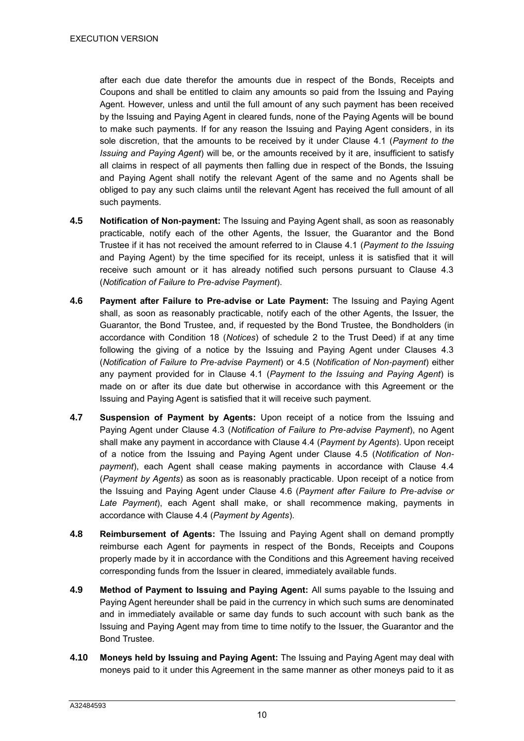after each due date therefor the amounts due in respect of the Bonds, Receipts and Coupons and shall be entitled to claim any amounts so paid from the Issuing and Paying Agent. However, unless and until the full amount of any such payment has been received by the Issuing and Paying Agent in cleared funds, none of the Paying Agents will be bound to make such payments. If for any reason the Issuing and Paying Agent considers, in its sole discretion, that the amounts to be received by it under Clause [4.1](#page-11-0) (*Payment to the Issuing and Paying Agent*) will be, or the amounts received by it are, insufficient to satisfy all claims in respect of all payments then falling due in respect of the Bonds, the Issuing and Paying Agent shall notify the relevant Agent of the same and no Agents shall be obliged to pay any such claims until the relevant Agent has received the full amount of all such payments.

- **4.5 Notification of Non-payment:** The Issuing and Paying Agent shall, as soon as reasonably practicable, notify each of the other Agents, the Issuer, the Guarantor and the Bond Trustee if it has not received the amount referred to in Clause 4.1 (*Payment to the Issuing*  and Paying Agent) by the time specified for its receipt, unless it is satisfied that it will receive such amount or it has already notified such persons pursuant to Clause 4.3 (*Notification of Failure to Pre-advise Payment*).
- **4.6 Payment after Failure to Pre-advise or Late Payment:** The Issuing and Paying Agent shall, as soon as reasonably practicable, notify each of the other Agents, the Issuer, the Guarantor, the Bond Trustee, and, if requested by the Bond Trustee, the Bondholders (in accordance with Condition 18 (*Notices*) of schedule 2 to the Trust Deed) if at any time following the giving of a notice by the Issuing and Paying Agent under Clauses 4.3 (*Notification of Failure to Pre-advise Payment*) or 4.5 (*Notification of Non-payment*) either any payment provided for in Clause 4.1 (*Payment to the Issuing and Paying Agent*) is made on or after its due date but otherwise in accordance with this Agreement or the Issuing and Paying Agent is satisfied that it will receive such payment.
- **4.7 Suspension of Payment by Agents:** Upon receipt of a notice from the Issuing and Paying Agent under Clause 4.3 (*Notification of Failure to Pre-advise Payment*), no Agent shall make any payment in accordance with Clause 4.4 (*Payment by Agents*). Upon receipt of a notice from the Issuing and Paying Agent under Clause 4.5 (*Notification of Nonpayment*), each Agent shall cease making payments in accordance with Clause 4.4 (*Payment by Agents*) as soon as is reasonably practicable. Upon receipt of a notice from the Issuing and Paying Agent under Clause 4.6 (*Payment after Failure to Pre-advise or Late Payment*), each Agent shall make, or shall recommence making, payments in accordance with Clause 4.4 (*Payment by Agents*).
- **4.8 Reimbursement of Agents:** The Issuing and Paying Agent shall on demand promptly reimburse each Agent for payments in respect of the Bonds, Receipts and Coupons properly made by it in accordance with the Conditions and this Agreement having received corresponding funds from the Issuer in cleared, immediately available funds.
- **4.9 Method of Payment to Issuing and Paying Agent:** All sums payable to the Issuing and Paying Agent hereunder shall be paid in the currency in which such sums are denominated and in immediately available or same day funds to such account with such bank as the Issuing and Paying Agent may from time to time notify to the Issuer, the Guarantor and the Bond Trustee.
- **4.10 Moneys held by Issuing and Paying Agent:** The Issuing and Paying Agent may deal with moneys paid to it under this Agreement in the same manner as other moneys paid to it as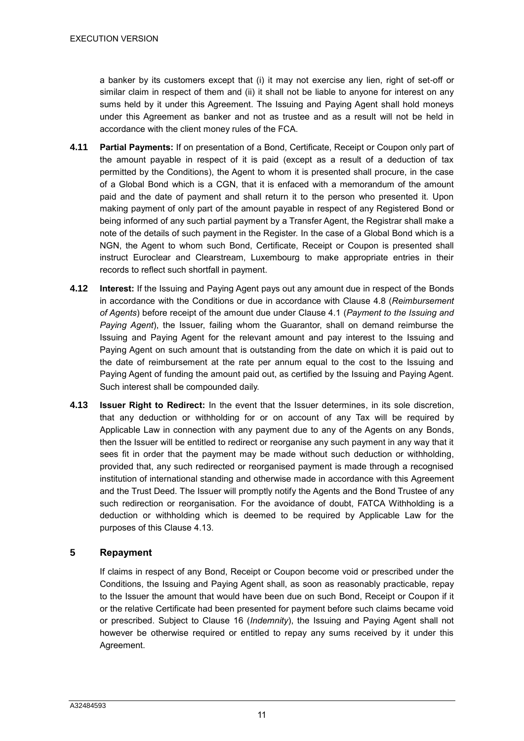a banker by its customers except that (i) it may not exercise any lien, right of set-off or similar claim in respect of them and (ii) it shall not be liable to anyone for interest on any sums held by it under this Agreement. The Issuing and Paying Agent shall hold moneys under this Agreement as banker and not as trustee and as a result will not be held in accordance with the client money rules of the FCA.

- **4.11 Partial Payments:** If on presentation of a Bond, Certificate, Receipt or Coupon only part of the amount payable in respect of it is paid (except as a result of a deduction of tax permitted by the Conditions), the Agent to whom it is presented shall procure, in the case of a Global Bond which is a CGN, that it is enfaced with a memorandum of the amount paid and the date of payment and shall return it to the person who presented it. Upon making payment of only part of the amount payable in respect of any Registered Bond or being informed of any such partial payment by a Transfer Agent, the Registrar shall make a note of the details of such payment in the Register. In the case of a Global Bond which is a NGN, the Agent to whom such Bond, Certificate, Receipt or Coupon is presented shall instruct Euroclear and Clearstream, Luxembourg to make appropriate entries in their records to reflect such shortfall in payment.
- **4.12 Interest:** If the Issuing and Paying Agent pays out any amount due in respect of the Bonds in accordance with the Conditions or due in accordance with Clause 4.8 (*Reimbursement of Agents*) before receipt of the amount due under Clause 4.1 (*Payment to the Issuing and Paying Agent*), the Issuer, failing whom the Guarantor, shall on demand reimburse the Issuing and Paying Agent for the relevant amount and pay interest to the Issuing and Paying Agent on such amount that is outstanding from the date on which it is paid out to the date of reimbursement at the rate per annum equal to the cost to the Issuing and Paying Agent of funding the amount paid out, as certified by the Issuing and Paying Agent. Such interest shall be compounded daily.
- <span id="page-13-0"></span>**4.13 Issuer Right to Redirect:** In the event that the Issuer determines, in its sole discretion, that any deduction or withholding for or on account of any Tax will be required by Applicable Law in connection with any payment due to any of the Agents on any Bonds, then the Issuer will be entitled to redirect or reorganise any such payment in any way that it sees fit in order that the payment may be made without such deduction or withholding, provided that, any such redirected or reorganised payment is made through a recognised institution of international standing and otherwise made in accordance with this Agreement and the Trust Deed. The Issuer will promptly notify the Agents and the Bond Trustee of any such redirection or reorganisation. For the avoidance of doubt, FATCA Withholding is a deduction or withholding which is deemed to be required by Applicable Law for the purposes of this Clause [4.13.](#page-13-0)

# **5 Repayment**

If claims in respect of any Bond, Receipt or Coupon become void or prescribed under the Conditions, the Issuing and Paying Agent shall, as soon as reasonably practicable, repay to the Issuer the amount that would have been due on such Bond, Receipt or Coupon if it or the relative Certificate had been presented for payment before such claims became void or prescribed. Subject to Clause 16 (*Indemnity*), the Issuing and Paying Agent shall not however be otherwise required or entitled to repay any sums received by it under this Agreement.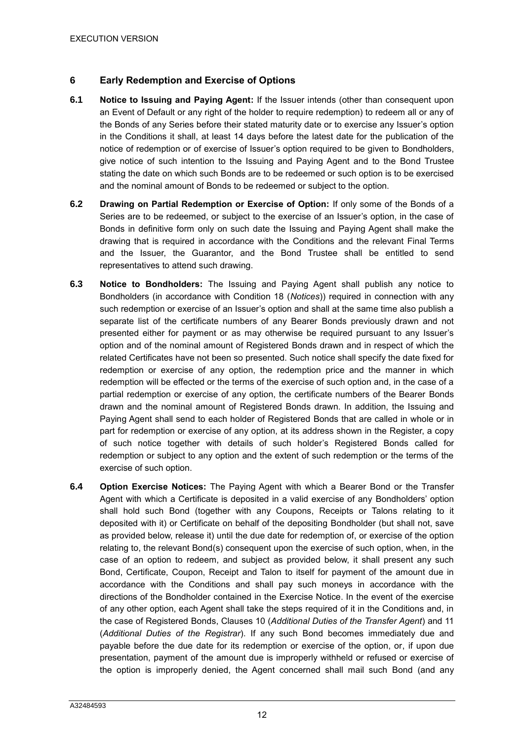# **6 Early Redemption and Exercise of Options**

- **6.1 Notice to Issuing and Paying Agent:** If the Issuer intends (other than consequent upon an Event of Default or any right of the holder to require redemption) to redeem all or any of the Bonds of any Series before their stated maturity date or to exercise any Issuer's option in the Conditions it shall, at least 14 days before the latest date for the publication of the notice of redemption or of exercise of Issuer's option required to be given to Bondholders, give notice of such intention to the Issuing and Paying Agent and to the Bond Trustee stating the date on which such Bonds are to be redeemed or such option is to be exercised and the nominal amount of Bonds to be redeemed or subject to the option.
- **6.2 Drawing on Partial Redemption or Exercise of Option:** If only some of the Bonds of a Series are to be redeemed, or subject to the exercise of an Issuer's option, in the case of Bonds in definitive form only on such date the Issuing and Paying Agent shall make the drawing that is required in accordance with the Conditions and the relevant Final Terms and the Issuer, the Guarantor, and the Bond Trustee shall be entitled to send representatives to attend such drawing.
- **6.3 Notice to Bondholders:** The Issuing and Paying Agent shall publish any notice to Bondholders (in accordance with Condition 18 (*Notices*)) required in connection with any such redemption or exercise of an Issuer's option and shall at the same time also publish a separate list of the certificate numbers of any Bearer Bonds previously drawn and not presented either for payment or as may otherwise be required pursuant to any Issuer's option and of the nominal amount of Registered Bonds drawn and in respect of which the related Certificates have not been so presented. Such notice shall specify the date fixed for redemption or exercise of any option, the redemption price and the manner in which redemption will be effected or the terms of the exercise of such option and, in the case of a partial redemption or exercise of any option, the certificate numbers of the Bearer Bonds drawn and the nominal amount of Registered Bonds drawn. In addition, the Issuing and Paying Agent shall send to each holder of Registered Bonds that are called in whole or in part for redemption or exercise of any option, at its address shown in the Register, a copy of such notice together with details of such holder's Registered Bonds called for redemption or subject to any option and the extent of such redemption or the terms of the exercise of such option.
- **6.4 Option Exercise Notices:** The Paying Agent with which a Bearer Bond or the Transfer Agent with which a Certificate is deposited in a valid exercise of any Bondholders' option shall hold such Bond (together with any Coupons, Receipts or Talons relating to it deposited with it) or Certificate on behalf of the depositing Bondholder (but shall not, save as provided below, release it) until the due date for redemption of, or exercise of the option relating to, the relevant Bond(s) consequent upon the exercise of such option, when, in the case of an option to redeem, and subject as provided below, it shall present any such Bond, Certificate, Coupon, Receipt and Talon to itself for payment of the amount due in accordance with the Conditions and shall pay such moneys in accordance with the directions of the Bondholder contained in the Exercise Notice. In the event of the exercise of any other option, each Agent shall take the steps required of it in the Conditions and, in the case of Registered Bonds, Clauses 10 (*Additional Duties of the Transfer Agent*) and 11 (*Additional Duties of the Registrar*). If any such Bond becomes immediately due and payable before the due date for its redemption or exercise of the option, or, if upon due presentation, payment of the amount due is improperly withheld or refused or exercise of the option is improperly denied, the Agent concerned shall mail such Bond (and any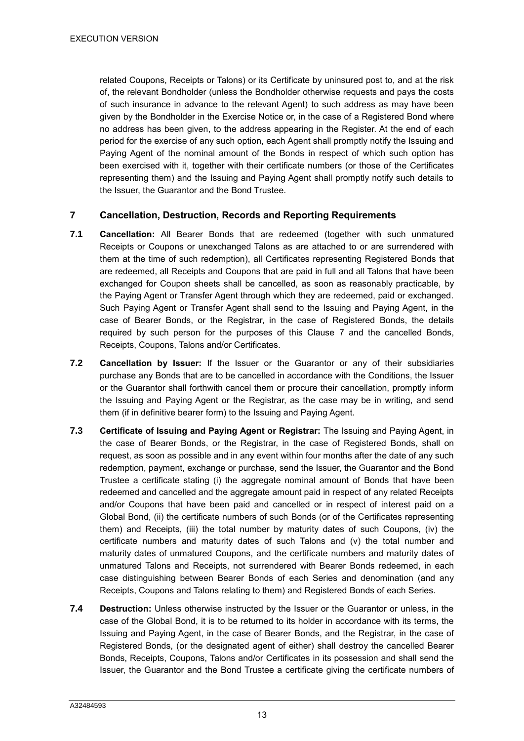related Coupons, Receipts or Talons) or its Certificate by uninsured post to, and at the risk of, the relevant Bondholder (unless the Bondholder otherwise requests and pays the costs of such insurance in advance to the relevant Agent) to such address as may have been given by the Bondholder in the Exercise Notice or, in the case of a Registered Bond where no address has been given, to the address appearing in the Register. At the end of each period for the exercise of any such option, each Agent shall promptly notify the Issuing and Paying Agent of the nominal amount of the Bonds in respect of which such option has been exercised with it, together with their certificate numbers (or those of the Certificates representing them) and the Issuing and Paying Agent shall promptly notify such details to the Issuer, the Guarantor and the Bond Trustee.

## <span id="page-15-0"></span>**7 Cancellation, Destruction, Records and Reporting Requirements**

- **7.1 Cancellation:** All Bearer Bonds that are redeemed (together with such unmatured Receipts or Coupons or unexchanged Talons as are attached to or are surrendered with them at the time of such redemption), all Certificates representing Registered Bonds that are redeemed, all Receipts and Coupons that are paid in full and all Talons that have been exchanged for Coupon sheets shall be cancelled, as soon as reasonably practicable, by the Paying Agent or Transfer Agent through which they are redeemed, paid or exchanged. Such Paying Agent or Transfer Agent shall send to the Issuing and Paying Agent, in the case of Bearer Bonds, or the Registrar, in the case of Registered Bonds, the details required by such person for the purposes of this Clause [7](#page-15-0) and the cancelled Bonds, Receipts, Coupons, Talons and/or Certificates.
- **7.2 Cancellation by Issuer:** If the Issuer or the Guarantor or any of their subsidiaries purchase any Bonds that are to be cancelled in accordance with the Conditions, the Issuer or the Guarantor shall forthwith cancel them or procure their cancellation, promptly inform the Issuing and Paying Agent or the Registrar, as the case may be in writing, and send them (if in definitive bearer form) to the Issuing and Paying Agent.
- **7.3 Certificate of Issuing and Paying Agent or Registrar:** The Issuing and Paying Agent, in the case of Bearer Bonds, or the Registrar, in the case of Registered Bonds, shall on request, as soon as possible and in any event within four months after the date of any such redemption, payment, exchange or purchase, send the Issuer, the Guarantor and the Bond Trustee a certificate stating (i) the aggregate nominal amount of Bonds that have been redeemed and cancelled and the aggregate amount paid in respect of any related Receipts and/or Coupons that have been paid and cancelled or in respect of interest paid on a Global Bond, (ii) the certificate numbers of such Bonds (or of the Certificates representing them) and Receipts, (iii) the total number by maturity dates of such Coupons, (iv) the certificate numbers and maturity dates of such Talons and  $(v)$  the total number and maturity dates of unmatured Coupons, and the certificate numbers and maturity dates of unmatured Talons and Receipts, not surrendered with Bearer Bonds redeemed, in each case distinguishing between Bearer Bonds of each Series and denomination (and any Receipts, Coupons and Talons relating to them) and Registered Bonds of each Series.
- **7.4 Destruction:** Unless otherwise instructed by the Issuer or the Guarantor or unless, in the case of the Global Bond, it is to be returned to its holder in accordance with its terms, the Issuing and Paying Agent, in the case of Bearer Bonds, and the Registrar, in the case of Registered Bonds, (or the designated agent of either) shall destroy the cancelled Bearer Bonds, Receipts, Coupons, Talons and/or Certificates in its possession and shall send the Issuer, the Guarantor and the Bond Trustee a certificate giving the certificate numbers of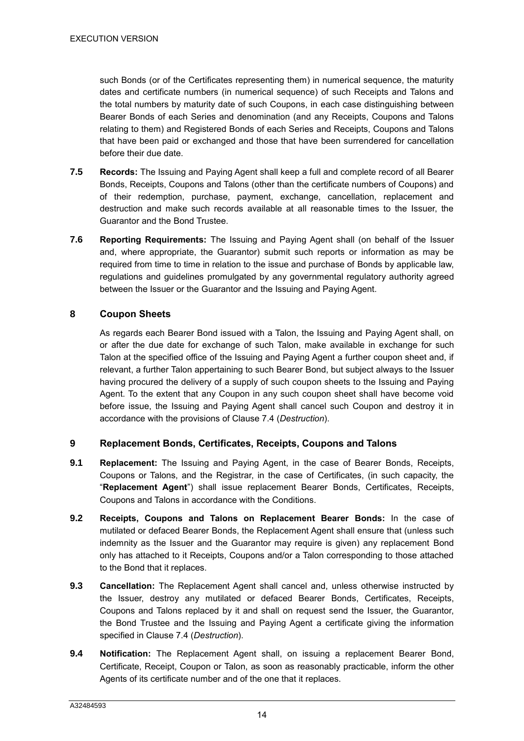such Bonds (or of the Certificates representing them) in numerical sequence, the maturity dates and certificate numbers (in numerical sequence) of such Receipts and Talons and the total numbers by maturity date of such Coupons, in each case distinguishing between Bearer Bonds of each Series and denomination (and any Receipts, Coupons and Talons relating to them) and Registered Bonds of each Series and Receipts, Coupons and Talons that have been paid or exchanged and those that have been surrendered for cancellation before their due date.

- **7.5 Records:** The Issuing and Paying Agent shall keep a full and complete record of all Bearer Bonds, Receipts, Coupons and Talons (other than the certificate numbers of Coupons) and of their redemption, purchase, payment, exchange, cancellation, replacement and destruction and make such records available at all reasonable times to the Issuer, the Guarantor and the Bond Trustee.
- **7.6 Reporting Requirements:** The Issuing and Paying Agent shall (on behalf of the Issuer and, where appropriate, the Guarantor) submit such reports or information as may be required from time to time in relation to the issue and purchase of Bonds by applicable law, regulations and guidelines promulgated by any governmental regulatory authority agreed between the Issuer or the Guarantor and the Issuing and Paying Agent.

# **8 Coupon Sheets**

As regards each Bearer Bond issued with a Talon, the Issuing and Paying Agent shall, on or after the due date for exchange of such Talon, make available in exchange for such Talon at the specified office of the Issuing and Paying Agent a further coupon sheet and, if relevant, a further Talon appertaining to such Bearer Bond, but subject always to the Issuer having procured the delivery of a supply of such coupon sheets to the Issuing and Paying Agent. To the extent that any Coupon in any such coupon sheet shall have become void before issue, the Issuing and Paying Agent shall cancel such Coupon and destroy it in accordance with the provisions of Clause 7.4 (*Destruction*).

# **9 Replacement Bonds, Certificates, Receipts, Coupons and Talons**

- **9.1 Replacement:** The Issuing and Paying Agent, in the case of Bearer Bonds, Receipts, Coupons or Talons, and the Registrar, in the case of Certificates, (in such capacity, the "**Replacement Agent**") shall issue replacement Bearer Bonds, Certificates, Receipts, Coupons and Talons in accordance with the Conditions.
- **9.2 Receipts, Coupons and Talons on Replacement Bearer Bonds:** In the case of mutilated or defaced Bearer Bonds, the Replacement Agent shall ensure that (unless such indemnity as the Issuer and the Guarantor may require is given) any replacement Bond only has attached to it Receipts, Coupons and/or a Talon corresponding to those attached to the Bond that it replaces.
- **9.3 Cancellation:** The Replacement Agent shall cancel and, unless otherwise instructed by the Issuer, destroy any mutilated or defaced Bearer Bonds, Certificates, Receipts, Coupons and Talons replaced by it and shall on request send the Issuer, the Guarantor, the Bond Trustee and the Issuing and Paying Agent a certificate giving the information specified in Clause 7.4 (*Destruction*).
- **9.4 Notification:** The Replacement Agent shall, on issuing a replacement Bearer Bond, Certificate, Receipt, Coupon or Talon, as soon as reasonably practicable, inform the other Agents of its certificate number and of the one that it replaces.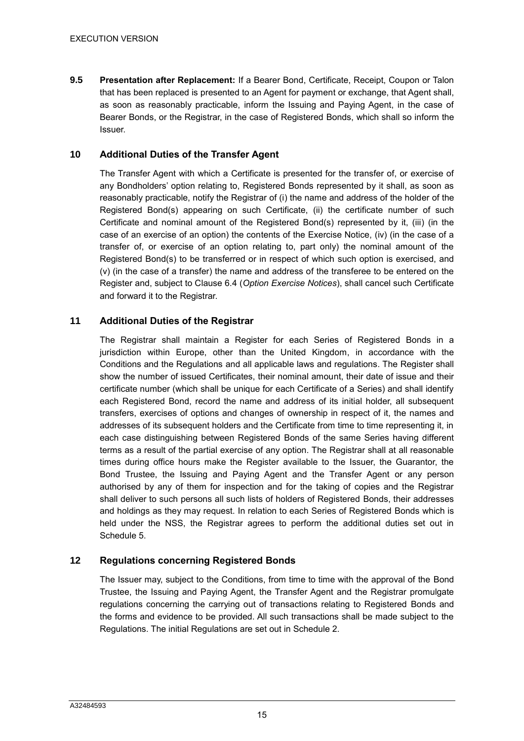**9.5 Presentation after Replacement:** If a Bearer Bond, Certificate, Receipt, Coupon or Talon that has been replaced is presented to an Agent for payment or exchange, that Agent shall, as soon as reasonably practicable, inform the Issuing and Paying Agent, in the case of Bearer Bonds, or the Registrar, in the case of Registered Bonds, which shall so inform the Issuer.

#### **10 Additional Duties of the Transfer Agent**

The Transfer Agent with which a Certificate is presented for the transfer of, or exercise of any Bondholders' option relating to, Registered Bonds represented by it shall, as soon as reasonably practicable, notify the Registrar of (i) the name and address of the holder of the Registered Bond(s) appearing on such Certificate, (ii) the certificate number of such Certificate and nominal amount of the Registered Bond(s) represented by it, (iii) (in the case of an exercise of an option) the contents of the Exercise Notice, (iv) (in the case of a transfer of, or exercise of an option relating to, part only) the nominal amount of the Registered Bond(s) to be transferred or in respect of which such option is exercised, and (v) (in the case of a transfer) the name and address of the transferee to be entered on the Register and, subject to Clause 6.4 (*Option Exercise Notices*), shall cancel such Certificate and forward it to the Registrar.

## **11 Additional Duties of the Registrar**

The Registrar shall maintain a Register for each Series of Registered Bonds in a jurisdiction within Europe, other than the United Kingdom, in accordance with the Conditions and the Regulations and all applicable laws and regulations. The Register shall show the number of issued Certificates, their nominal amount, their date of issue and their certificate number (which shall be unique for each Certificate of a Series) and shall identify each Registered Bond, record the name and address of its initial holder, all subsequent transfers, exercises of options and changes of ownership in respect of it, the names and addresses of its subsequent holders and the Certificate from time to time representing it, in each case distinguishing between Registered Bonds of the same Series having different terms as a result of the partial exercise of any option. The Registrar shall at all reasonable times during office hours make the Register available to the Issuer, the Guarantor, the Bond Trustee, the Issuing and Paying Agent and the Transfer Agent or any person authorised by any of them for inspection and for the taking of copies and the Registrar shall deliver to such persons all such lists of holders of Registered Bonds, their addresses and holdings as they may request. In relation to each Series of Registered Bonds which is held under the NSS, the Registrar agrees to perform the additional duties set out in Schedule 5.

# **12 Regulations concerning Registered Bonds**

The Issuer may, subject to the Conditions, from time to time with the approval of the Bond Trustee, the Issuing and Paying Agent, the Transfer Agent and the Registrar promulgate regulations concerning the carrying out of transactions relating to Registered Bonds and the forms and evidence to be provided. All such transactions shall be made subject to the Regulations. The initial Regulations are set out in Schedule 2.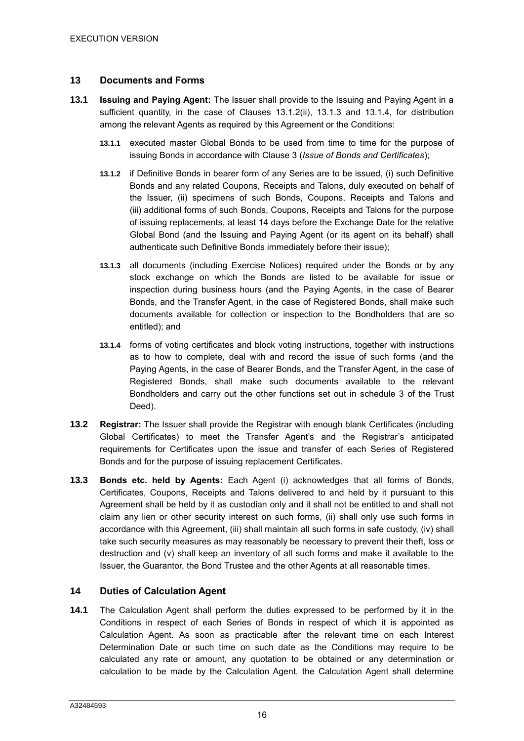#### **13 Documents and Forms**

- **13.1 Issuing and Paying Agent:** The Issuer shall provide to the Issuing and Paying Agent in a sufficient quantity, in the case of Clauses 13.1.2(ii), 13.1.3 and 13.1.4, for distribution among the relevant Agents as required by this Agreement or the Conditions:
	- **13.1.1** executed master Global Bonds to be used from time to time for the purpose of issuing Bonds in accordance with Clause 3 (*Issue of Bonds and Certificates*);
	- **13.1.2** if Definitive Bonds in bearer form of any Series are to be issued, (i) such Definitive Bonds and any related Coupons, Receipts and Talons, duly executed on behalf of the Issuer, (ii) specimens of such Bonds, Coupons, Receipts and Talons and (iii) additional forms of such Bonds, Coupons, Receipts and Talons for the purpose of issuing replacements, at least 14 days before the Exchange Date for the relative Global Bond (and the Issuing and Paying Agent (or its agent on its behalf) shall authenticate such Definitive Bonds immediately before their issue);
	- **13.1.3** all documents (including Exercise Notices) required under the Bonds or by any stock exchange on which the Bonds are listed to be available for issue or inspection during business hours (and the Paying Agents, in the case of Bearer Bonds, and the Transfer Agent, in the case of Registered Bonds, shall make such documents available for collection or inspection to the Bondholders that are so entitled); and
	- **13.1.4** forms of voting certificates and block voting instructions, together with instructions as to how to complete, deal with and record the issue of such forms (and the Paying Agents, in the case of Bearer Bonds, and the Transfer Agent, in the case of Registered Bonds, shall make such documents available to the relevant Bondholders and carry out the other functions set out in schedule 3 of the Trust Deed).
- **13.2 Registrar:** The Issuer shall provide the Registrar with enough blank Certificates (including Global Certificates) to meet the Transfer Agent's and the Registrar's anticipated requirements for Certificates upon the issue and transfer of each Series of Registered Bonds and for the purpose of issuing replacement Certificates.
- **13.3 Bonds etc. held by Agents:** Each Agent (i) acknowledges that all forms of Bonds, Certificates, Coupons, Receipts and Talons delivered to and held by it pursuant to this Agreement shall be held by it as custodian only and it shall not be entitled to and shall not claim any lien or other security interest on such forms, (ii) shall only use such forms in accordance with this Agreement, (iii) shall maintain all such forms in safe custody, (iv) shall take such security measures as may reasonably be necessary to prevent their theft, loss or destruction and (v) shall keep an inventory of all such forms and make it available to the Issuer, the Guarantor, the Bond Trustee and the other Agents at all reasonable times.

#### <span id="page-18-0"></span>**14 Duties of Calculation Agent**

**14.1** The Calculation Agent shall perform the duties expressed to be performed by it in the Conditions in respect of each Series of Bonds in respect of which it is appointed as Calculation Agent. As soon as practicable after the relevant time on each Interest Determination Date or such time on such date as the Conditions may require to be calculated any rate or amount, any quotation to be obtained or any determination or calculation to be made by the Calculation Agent, the Calculation Agent shall determine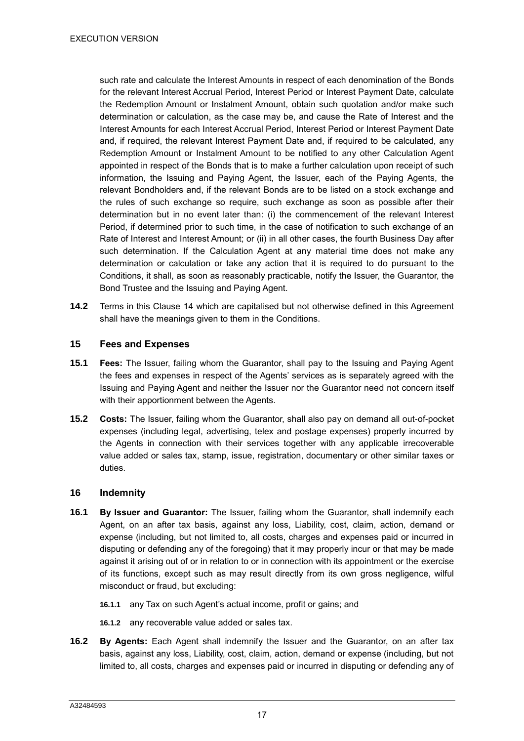such rate and calculate the Interest Amounts in respect of each denomination of the Bonds for the relevant Interest Accrual Period, Interest Period or Interest Payment Date, calculate the Redemption Amount or Instalment Amount, obtain such quotation and/or make such determination or calculation, as the case may be, and cause the Rate of Interest and the Interest Amounts for each Interest Accrual Period, Interest Period or Interest Payment Date and, if required, the relevant Interest Payment Date and, if required to be calculated, any Redemption Amount or Instalment Amount to be notified to any other Calculation Agent appointed in respect of the Bonds that is to make a further calculation upon receipt of such information, the Issuing and Paying Agent, the Issuer, each of the Paying Agents, the relevant Bondholders and, if the relevant Bonds are to be listed on a stock exchange and the rules of such exchange so require, such exchange as soon as possible after their determination but in no event later than: (i) the commencement of the relevant Interest Period, if determined prior to such time, in the case of notification to such exchange of an Rate of Interest and Interest Amount; or (ii) in all other cases, the fourth Business Day after such determination. If the Calculation Agent at any material time does not make any determination or calculation or take any action that it is required to do pursuant to the Conditions, it shall, as soon as reasonably practicable, notify the Issuer, the Guarantor, the Bond Trustee and the Issuing and Paying Agent.

**14.2** Terms in this Clause [14](#page-18-0) which are capitalised but not otherwise defined in this Agreement shall have the meanings given to them in the Conditions.

#### **15 Fees and Expenses**

- **15.1 Fees:** The Issuer, failing whom the Guarantor, shall pay to the Issuing and Paying Agent the fees and expenses in respect of the Agents' services as is separately agreed with the Issuing and Paying Agent and neither the Issuer nor the Guarantor need not concern itself with their apportionment between the Agents.
- **15.2 Costs:** The Issuer, failing whom the Guarantor, shall also pay on demand all out-of-pocket expenses (including legal, advertising, telex and postage expenses) properly incurred by the Agents in connection with their services together with any applicable irrecoverable value added or sales tax, stamp, issue, registration, documentary or other similar taxes or duties.

#### <span id="page-19-0"></span>**16 Indemnity**

- **16.1 By Issuer and Guarantor:** The Issuer, failing whom the Guarantor, shall indemnify each Agent, on an after tax basis, against any loss, Liability, cost, claim, action, demand or expense (including, but not limited to, all costs, charges and expenses paid or incurred in disputing or defending any of the foregoing) that it may properly incur or that may be made against it arising out of or in relation to or in connection with its appointment or the exercise of its functions, except such as may result directly from its own gross negligence, wilful misconduct or fraud, but excluding:
	- **16.1.1** any Tax on such Agent's actual income, profit or gains; and
	- **16.1.2** any recoverable value added or sales tax.
- **16.2 By Agents:** Each Agent shall indemnify the Issuer and the Guarantor, on an after tax basis, against any loss, Liability, cost, claim, action, demand or expense (including, but not limited to, all costs, charges and expenses paid or incurred in disputing or defending any of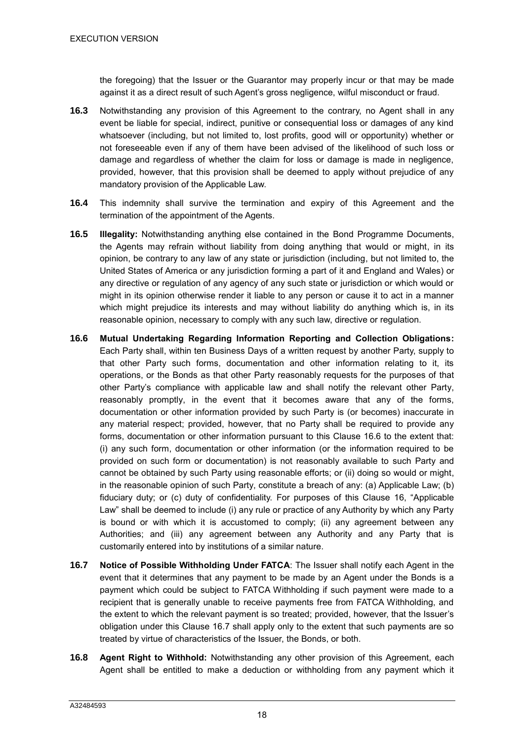the foregoing) that the Issuer or the Guarantor may properly incur or that may be made against it as a direct result of such Agent's gross negligence, wilful misconduct or fraud.

- **16.3** Notwithstanding any provision of this Agreement to the contrary, no Agent shall in any event be liable for special, indirect, punitive or consequential loss or damages of any kind whatsoever (including, but not limited to, lost profits, good will or opportunity) whether or not foreseeable even if any of them have been advised of the likelihood of such loss or damage and regardless of whether the claim for loss or damage is made in negligence, provided, however, that this provision shall be deemed to apply without prejudice of any mandatory provision of the Applicable Law.
- **16.4** This indemnity shall survive the termination and expiry of this Agreement and the termination of the appointment of the Agents.
- **16.5 Illegality:** Notwithstanding anything else contained in the Bond Programme Documents, the Agents may refrain without liability from doing anything that would or might, in its opinion, be contrary to any law of any state or jurisdiction (including, but not limited to, the United States of America or any jurisdiction forming a part of it and England and Wales) or any directive or regulation of any agency of any such state or jurisdiction or which would or might in its opinion otherwise render it liable to any person or cause it to act in a manner which might prejudice its interests and may without liability do anything which is, in its reasonable opinion, necessary to comply with any such law, directive or regulation.
- <span id="page-20-0"></span>**16.6 Mutual Undertaking Regarding Information Reporting and Collection Obligations:** Each Party shall, within ten Business Days of a written request by another Party, supply to that other Party such forms, documentation and other information relating to it, its operations, or the Bonds as that other Party reasonably requests for the purposes of that other Party's compliance with applicable law and shall notify the relevant other Party, reasonably promptly, in the event that it becomes aware that any of the forms, documentation or other information provided by such Party is (or becomes) inaccurate in any material respect; provided, however, that no Party shall be required to provide any forms, documentation or other information pursuant to this Clause [16.6](#page-20-0) to the extent that: (i) any such form, documentation or other information (or the information required to be provided on such form or documentation) is not reasonably available to such Party and cannot be obtained by such Party using reasonable efforts; or (ii) doing so would or might, in the reasonable opinion of such Party, constitute a breach of any: (a) Applicable Law; (b) fiduciary duty; or (c) duty of confidentiality. For purposes of this Clause [16,](#page-19-0) "Applicable Law" shall be deemed to include (i) any rule or practice of any Authority by which any Party is bound or with which it is accustomed to comply; (ii) any agreement between any Authorities; and (iii) any agreement between any Authority and any Party that is customarily entered into by institutions of a similar nature.
- <span id="page-20-1"></span>**16.7 Notice of Possible Withholding Under FATCA**: The Issuer shall notify each Agent in the event that it determines that any payment to be made by an Agent under the Bonds is a payment which could be subject to FATCA Withholding if such payment were made to a recipient that is generally unable to receive payments free from FATCA Withholding, and the extent to which the relevant payment is so treated; provided, however, that the Issuer's obligation under this Clause [16.7](#page-20-1) shall apply only to the extent that such payments are so treated by virtue of characteristics of the Issuer, the Bonds, or both.
- <span id="page-20-2"></span>**16.8 Agent Right to Withhold:** Notwithstanding any other provision of this Agreement, each Agent shall be entitled to make a deduction or withholding from any payment which it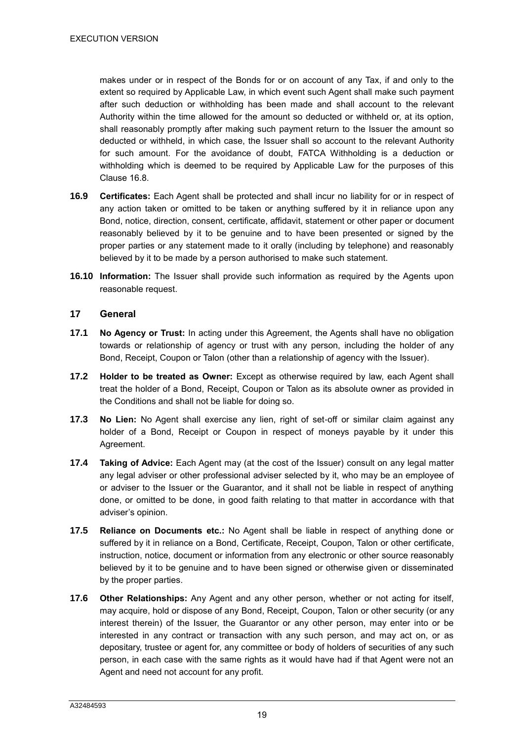makes under or in respect of the Bonds for or on account of any Tax, if and only to the extent so required by Applicable Law, in which event such Agent shall make such payment after such deduction or withholding has been made and shall account to the relevant Authority within the time allowed for the amount so deducted or withheld or, at its option, shall reasonably promptly after making such payment return to the Issuer the amount so deducted or withheld, in which case, the Issuer shall so account to the relevant Authority for such amount. For the avoidance of doubt, FATCA Withholding is a deduction or withholding which is deemed to be required by Applicable Law for the purposes of this Clause [16.8.](#page-20-2)

- **16.9 Certificates:** Each Agent shall be protected and shall incur no liability for or in respect of any action taken or omitted to be taken or anything suffered by it in reliance upon any Bond, notice, direction, consent, certificate, affidavit, statement or other paper or document reasonably believed by it to be genuine and to have been presented or signed by the proper parties or any statement made to it orally (including by telephone) and reasonably believed by it to be made by a person authorised to make such statement.
- **16.10 Information:** The Issuer shall provide such information as required by the Agents upon reasonable request.

#### **17 General**

- **17.1 No Agency or Trust:** In acting under this Agreement, the Agents shall have no obligation towards or relationship of agency or trust with any person, including the holder of any Bond, Receipt, Coupon or Talon (other than a relationship of agency with the Issuer).
- **17.2 Holder to be treated as Owner:** Except as otherwise required by law, each Agent shall treat the holder of a Bond, Receipt, Coupon or Talon as its absolute owner as provided in the Conditions and shall not be liable for doing so.
- **17.3 No Lien:** No Agent shall exercise any lien, right of set-off or similar claim against any holder of a Bond, Receipt or Coupon in respect of moneys payable by it under this Agreement.
- **17.4 Taking of Advice:** Each Agent may (at the cost of the Issuer) consult on any legal matter any legal adviser or other professional adviser selected by it, who may be an employee of or adviser to the Issuer or the Guarantor, and it shall not be liable in respect of anything done, or omitted to be done, in good faith relating to that matter in accordance with that adviser's opinion.
- **17.5 Reliance on Documents etc.:** No Agent shall be liable in respect of anything done or suffered by it in reliance on a Bond, Certificate, Receipt, Coupon, Talon or other certificate, instruction, notice, document or information from any electronic or other source reasonably believed by it to be genuine and to have been signed or otherwise given or disseminated by the proper parties.
- **17.6 Other Relationships:** Any Agent and any other person, whether or not acting for itself, may acquire, hold or dispose of any Bond, Receipt, Coupon, Talon or other security (or any interest therein) of the Issuer, the Guarantor or any other person, may enter into or be interested in any contract or transaction with any such person, and may act on, or as depositary, trustee or agent for, any committee or body of holders of securities of any such person, in each case with the same rights as it would have had if that Agent were not an Agent and need not account for any profit.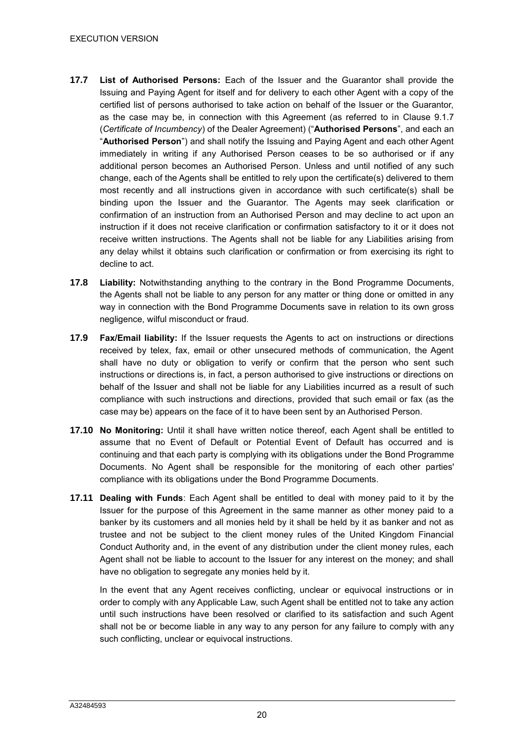- **17.7 List of Authorised Persons:** Each of the Issuer and the Guarantor shall provide the Issuing and Paying Agent for itself and for delivery to each other Agent with a copy of the certified list of persons authorised to take action on behalf of the Issuer or the Guarantor, as the case may be, in connection with this Agreement (as referred to in Clause 9.1.7 (*Certificate of Incumbency*) of the Dealer Agreement) ("**Authorised Persons**", and each an "**Authorised Person**") and shall notify the Issuing and Paying Agent and each other Agent immediately in writing if any Authorised Person ceases to be so authorised or if any additional person becomes an Authorised Person. Unless and until notified of any such change, each of the Agents shall be entitled to rely upon the certificate(s) delivered to them most recently and all instructions given in accordance with such certificate(s) shall be binding upon the Issuer and the Guarantor. The Agents may seek clarification or confirmation of an instruction from an Authorised Person and may decline to act upon an instruction if it does not receive clarification or confirmation satisfactory to it or it does not receive written instructions. The Agents shall not be liable for any Liabilities arising from any delay whilst it obtains such clarification or confirmation or from exercising its right to decline to act.
- **17.8 Liability:** Notwithstanding anything to the contrary in the Bond Programme Documents, the Agents shall not be liable to any person for any matter or thing done or omitted in any way in connection with the Bond Programme Documents save in relation to its own gross negligence, wilful misconduct or fraud.
- **17.9 Fax/Email liability:** If the Issuer requests the Agents to act on instructions or directions received by telex, fax, email or other unsecured methods of communication, the Agent shall have no duty or obligation to verify or confirm that the person who sent such instructions or directions is, in fact, a person authorised to give instructions or directions on behalf of the Issuer and shall not be liable for any Liabilities incurred as a result of such compliance with such instructions and directions, provided that such email or fax (as the case may be) appears on the face of it to have been sent by an Authorised Person.
- **17.10 No Monitoring:** Until it shall have written notice thereof, each Agent shall be entitled to assume that no Event of Default or Potential Event of Default has occurred and is continuing and that each party is complying with its obligations under the Bond Programme Documents. No Agent shall be responsible for the monitoring of each other parties' compliance with its obligations under the Bond Programme Documents.
- **17.11 Dealing with Funds**: Each Agent shall be entitled to deal with money paid to it by the Issuer for the purpose of this Agreement in the same manner as other money paid to a banker by its customers and all monies held by it shall be held by it as banker and not as trustee and not be subject to the client money rules of the United Kingdom Financial Conduct Authority and, in the event of any distribution under the client money rules, each Agent shall not be liable to account to the Issuer for any interest on the money; and shall have no obligation to segregate any monies held by it.

In the event that any Agent receives conflicting, unclear or equivocal instructions or in order to comply with any Applicable Law, such Agent shall be entitled not to take any action until such instructions have been resolved or clarified to its satisfaction and such Agent shall not be or become liable in any way to any person for any failure to comply with any such conflicting, unclear or equivocal instructions.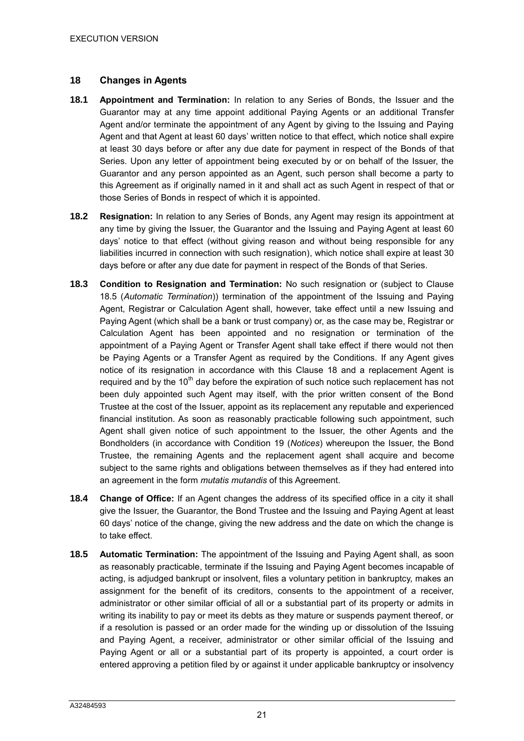## <span id="page-23-0"></span>**18 Changes in Agents**

- **18.1 Appointment and Termination:** In relation to any Series of Bonds, the Issuer and the Guarantor may at any time appoint additional Paying Agents or an additional Transfer Agent and/or terminate the appointment of any Agent by giving to the Issuing and Paying Agent and that Agent at least 60 days' written notice to that effect, which notice shall expire at least 30 days before or after any due date for payment in respect of the Bonds of that Series. Upon any letter of appointment being executed by or on behalf of the Issuer, the Guarantor and any person appointed as an Agent, such person shall become a party to this Agreement as if originally named in it and shall act as such Agent in respect of that or those Series of Bonds in respect of which it is appointed.
- **18.2 Resignation:** In relation to any Series of Bonds, any Agent may resign its appointment at any time by giving the Issuer, the Guarantor and the Issuing and Paying Agent at least 60 days' notice to that effect (without giving reason and without being responsible for any liabilities incurred in connection with such resignation), which notice shall expire at least 30 days before or after any due date for payment in respect of the Bonds of that Series.
- **18.3 Condition to Resignation and Termination:** No such resignation or (subject to Clause 18.5 (*Automatic Termination*)) termination of the appointment of the Issuing and Paying Agent, Registrar or Calculation Agent shall, however, take effect until a new Issuing and Paying Agent (which shall be a bank or trust company) or, as the case may be, Registrar or Calculation Agent has been appointed and no resignation or termination of the appointment of a Paying Agent or Transfer Agent shall take effect if there would not then be Paying Agents or a Transfer Agent as required by the Conditions. If any Agent gives notice of its resignation in accordance with this Clause [18](#page-23-0) and a replacement Agent is required and by the  $10<sup>th</sup>$  day before the expiration of such notice such replacement has not been duly appointed such Agent may itself, with the prior written consent of the Bond Trustee at the cost of the Issuer, appoint as its replacement any reputable and experienced financial institution. As soon as reasonably practicable following such appointment, such Agent shall given notice of such appointment to the Issuer, the other Agents and the Bondholders (in accordance with Condition 19 (*Notices*) whereupon the Issuer, the Bond Trustee, the remaining Agents and the replacement agent shall acquire and become subject to the same rights and obligations between themselves as if they had entered into an agreement in the form *mutatis mutandis* of this Agreement.
- **18.4 Change of Office:** If an Agent changes the address of its specified office in a city it shall give the Issuer, the Guarantor, the Bond Trustee and the Issuing and Paying Agent at least 60 days' notice of the change, giving the new address and the date on which the change is to take effect.
- **18.5 Automatic Termination:** The appointment of the Issuing and Paying Agent shall, as soon as reasonably practicable, terminate if the Issuing and Paying Agent becomes incapable of acting, is adjudged bankrupt or insolvent, files a voluntary petition in bankruptcy, makes an assignment for the benefit of its creditors, consents to the appointment of a receiver, administrator or other similar official of all or a substantial part of its property or admits in writing its inability to pay or meet its debts as they mature or suspends payment thereof, or if a resolution is passed or an order made for the winding up or dissolution of the Issuing and Paying Agent, a receiver, administrator or other similar official of the Issuing and Paying Agent or all or a substantial part of its property is appointed, a court order is entered approving a petition filed by or against it under applicable bankruptcy or insolvency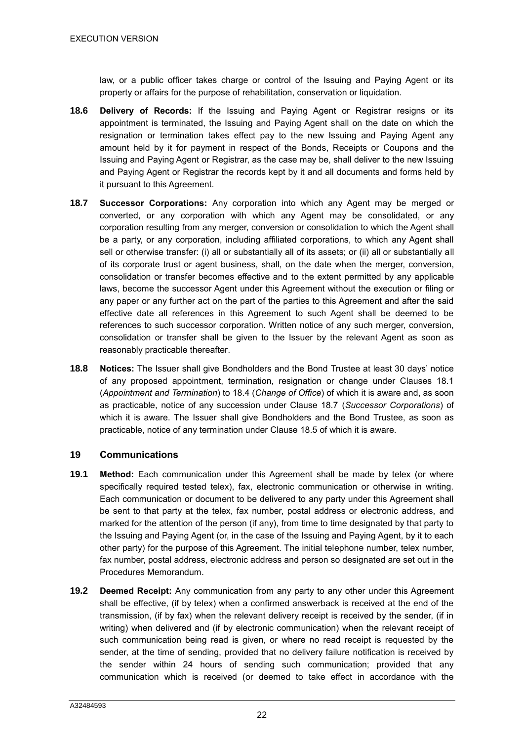law, or a public officer takes charge or control of the Issuing and Paying Agent or its property or affairs for the purpose of rehabilitation, conservation or liquidation.

- **18.6 Delivery of Records:** If the Issuing and Paying Agent or Registrar resigns or its appointment is terminated, the Issuing and Paying Agent shall on the date on which the resignation or termination takes effect pay to the new Issuing and Paying Agent any amount held by it for payment in respect of the Bonds, Receipts or Coupons and the Issuing and Paying Agent or Registrar, as the case may be, shall deliver to the new Issuing and Paying Agent or Registrar the records kept by it and all documents and forms held by it pursuant to this Agreement.
- **18.7 Successor Corporations:** Any corporation into which any Agent may be merged or converted, or any corporation with which any Agent may be consolidated, or any corporation resulting from any merger, conversion or consolidation to which the Agent shall be a party, or any corporation, including affiliated corporations, to which any Agent shall sell or otherwise transfer: (i) all or substantially all of its assets; or (ii) all or substantially all of its corporate trust or agent business, shall, on the date when the merger, conversion, consolidation or transfer becomes effective and to the extent permitted by any applicable laws, become the successor Agent under this Agreement without the execution or filing or any paper or any further act on the part of the parties to this Agreement and after the said effective date all references in this Agreement to such Agent shall be deemed to be references to such successor corporation. Written notice of any such merger, conversion, consolidation or transfer shall be given to the Issuer by the relevant Agent as soon as reasonably practicable thereafter.
- **18.8 Notices:** The Issuer shall give Bondholders and the Bond Trustee at least 30 days' notice of any proposed appointment, termination, resignation or change under Clauses 18.1 (*Appointment and Termination*) to 18.4 (*Change of Office*) of which it is aware and, as soon as practicable, notice of any succession under Clause 18.7 (*Successor Corporations*) of which it is aware. The Issuer shall give Bondholders and the Bond Trustee, as soon as practicable, notice of any termination under Clause 18.5 of which it is aware.

#### **19 Communications**

- **19.1 Method:** Each communication under this Agreement shall be made by telex (or where specifically required tested telex), fax, electronic communication or otherwise in writing. Each communication or document to be delivered to any party under this Agreement shall be sent to that party at the telex, fax number, postal address or electronic address, and marked for the attention of the person (if any), from time to time designated by that party to the Issuing and Paying Agent (or, in the case of the Issuing and Paying Agent, by it to each other party) for the purpose of this Agreement. The initial telephone number, telex number, fax number, postal address, electronic address and person so designated are set out in the Procedures Memorandum.
- **19.2 Deemed Receipt:** Any communication from any party to any other under this Agreement shall be effective, (if by telex) when a confirmed answerback is received at the end of the transmission, (if by fax) when the relevant delivery receipt is received by the sender, (if in writing) when delivered and (if by electronic communication) when the relevant receipt of such communication being read is given, or where no read receipt is requested by the sender, at the time of sending, provided that no delivery failure notification is received by the sender within 24 hours of sending such communication; provided that any communication which is received (or deemed to take effect in accordance with the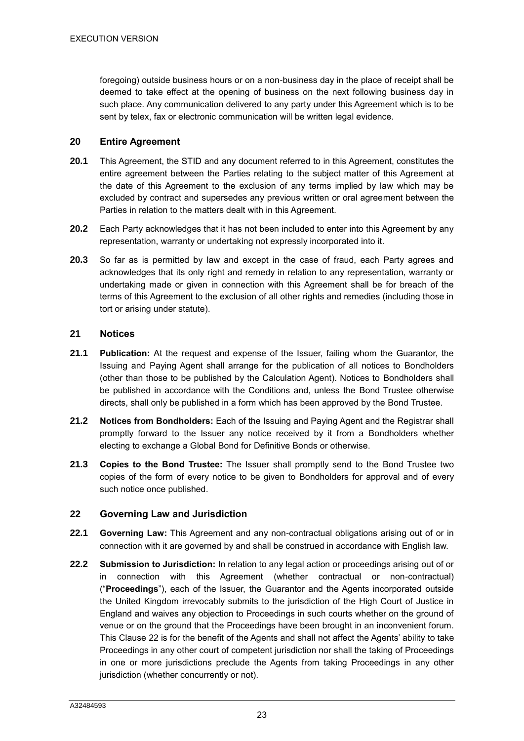foregoing) outside business hours or on a non-business day in the place of receipt shall be deemed to take effect at the opening of business on the next following business day in such place. Any communication delivered to any party under this Agreement which is to be sent by telex, fax or electronic communication will be written legal evidence.

# **20 Entire Agreement**

- **20.1** This Agreement, the STID and any document referred to in this Agreement, constitutes the entire agreement between the Parties relating to the subject matter of this Agreement at the date of this Agreement to the exclusion of any terms implied by law which may be excluded by contract and supersedes any previous written or oral agreement between the Parties in relation to the matters dealt with in this Agreement.
- **20.2** Each Party acknowledges that it has not been included to enter into this Agreement by any representation, warranty or undertaking not expressly incorporated into it.
- **20.3** So far as is permitted by law and except in the case of fraud, each Party agrees and acknowledges that its only right and remedy in relation to any representation, warranty or undertaking made or given in connection with this Agreement shall be for breach of the terms of this Agreement to the exclusion of all other rights and remedies (including those in tort or arising under statute).

## **21 Notices**

- **21.1 Publication:** At the request and expense of the Issuer, failing whom the Guarantor, the Issuing and Paying Agent shall arrange for the publication of all notices to Bondholders (other than those to be published by the Calculation Agent). Notices to Bondholders shall be published in accordance with the Conditions and, unless the Bond Trustee otherwise directs, shall only be published in a form which has been approved by the Bond Trustee.
- **21.2 Notices from Bondholders:** Each of the Issuing and Paying Agent and the Registrar shall promptly forward to the Issuer any notice received by it from a Bondholders whether electing to exchange a Global Bond for Definitive Bonds or otherwise.
- **21.3 Copies to the Bond Trustee:** The Issuer shall promptly send to the Bond Trustee two copies of the form of every notice to be given to Bondholders for approval and of every such notice once published.

# **22 Governing Law and Jurisdiction**

- **22.1 Governing Law:** This Agreement and any non-contractual obligations arising out of or in connection with it are governed by and shall be construed in accordance with English law.
- **22.2 Submission to Jurisdiction:** In relation to any legal action or proceedings arising out of or in connection with this Agreement (whether contractual or non-contractual) ("**Proceedings**"), each of the Issuer, the Guarantor and the Agents incorporated outside the United Kingdom irrevocably submits to the jurisdiction of the High Court of Justice in England and waives any objection to Proceedings in such courts whether on the ground of venue or on the ground that the Proceedings have been brought in an inconvenient forum. This Clause 22 is for the benefit of the Agents and shall not affect the Agents' ability to take Proceedings in any other court of competent jurisdiction nor shall the taking of Proceedings in one or more jurisdictions preclude the Agents from taking Proceedings in any other jurisdiction (whether concurrently or not).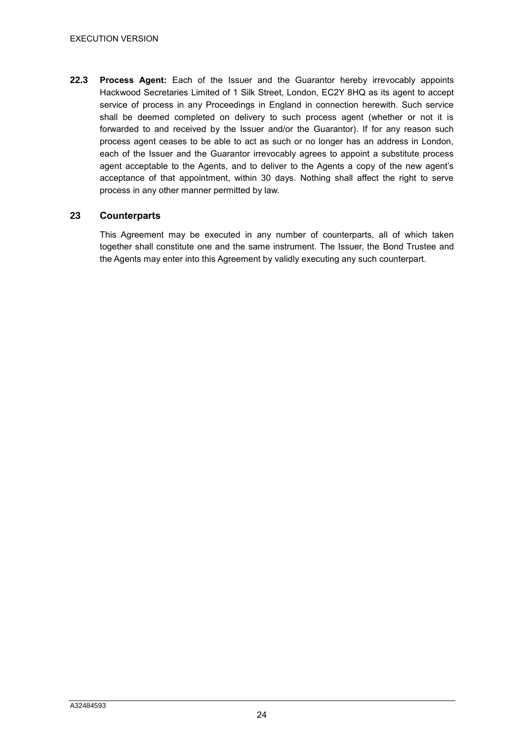**22.3 Process Agent:** Each of the Issuer and the Guarantor hereby irrevocably appoints Hackwood Secretaries Limited of 1 Silk Street, London, EC2Y 8HQ as its agent to accept service of process in any Proceedings in England in connection herewith. Such service shall be deemed completed on delivery to such process agent (whether or not it is forwarded to and received by the Issuer and/or the Guarantor). If for any reason such process agent ceases to be able to act as such or no longer has an address in London, each of the Issuer and the Guarantor irrevocably agrees to appoint a substitute process agent acceptable to the Agents, and to deliver to the Agents a copy of the new agent's acceptance of that appointment, within 30 days. Nothing shall affect the right to serve process in any other manner permitted by law.

#### **23 Counterparts**

This Agreement may be executed in any number of counterparts, all of which taken together shall constitute one and the same instrument. The Issuer, the Bond Trustee and the Agents may enter into this Agreement by validly executing any such counterpart.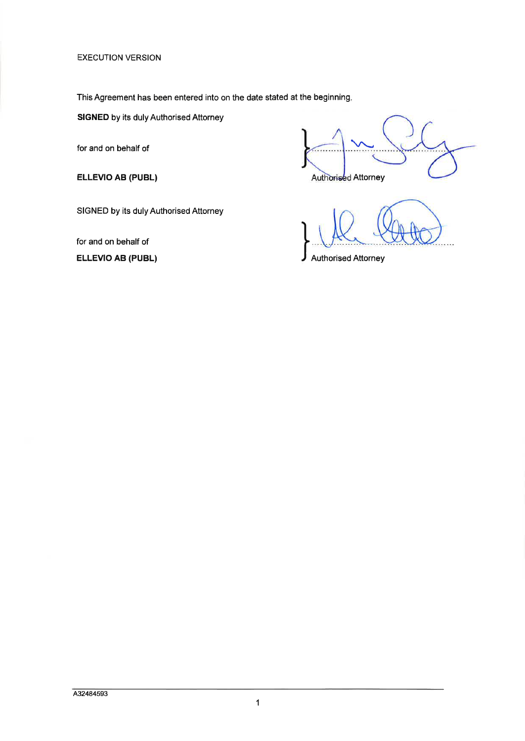**EXECUTION VERSION** 

This Agreement has been entered into on the date stated at the beginning.

**SIGNED** by its duly Authorised Attorney

for and on behalf of

ELLEVIO AB (PUBL)

Authorised Attorney

SIGNED by its duly Authorised Attorney

for and on behalf of **ELLEVIO AB (PUBL)** 

**Authorised Attorney**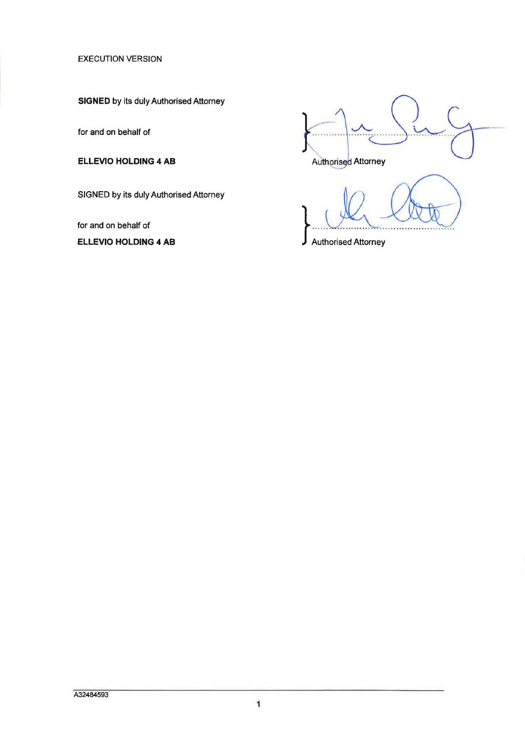**EXECUTION VERSION** 

**SIGNED** by its duly Authorised Attorney

for and on behalf of

**ELLEVIO HOLDING 4 AB** 

SIGNED by its duly Authorised Attorney

for and on behalf of

**ELLEVIO HOLDING 4 AB** 

Authorised Attorney

**Authorised Attorney**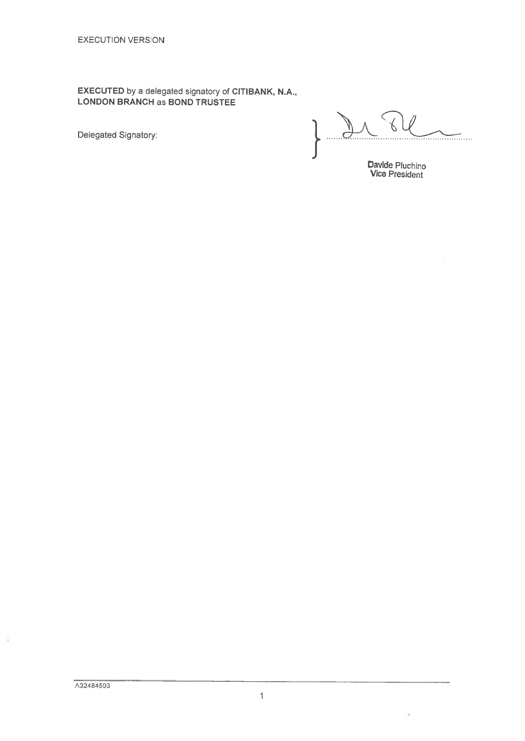**EXECUTED** by a delegated signatory of CITIBANK, N.A.,<br>LONDON BRANCH as BOND TRUSTEE

Delegated Signatory:

 $\sqrt{2}$ 

Davide Pluchino<br>Vice President

G.

ÿ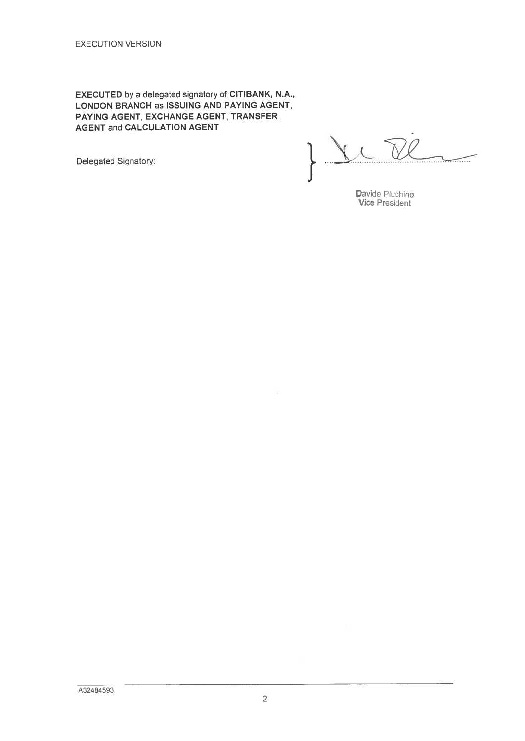EXECUTED by a delegated signatory of CITIBANK, N.A., LONDON BRANCH as ISSUING AND PAYING AGENT. PAYING AGENT, EXCHANGE AGENT, TRANSFER **AGENT and CALCULATION AGENT** 

Delegated Signatory:

 $\lambda$  $\overline{\phantom{iiiiiiii}}$ 

Davide Pluchino<br>Vice President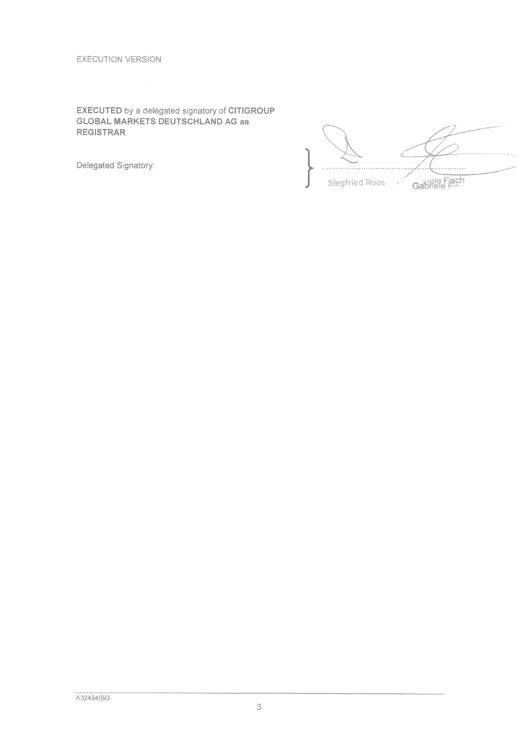# **EXECUTED by a delegated signatory of CITIGROUP**<br>GLOBAL MARKETS DEUTSCHLAND AG as **REGISTRAR**

Delegated Signatory:

. . . . . . Gabriele Fisch **Slegfried Roos**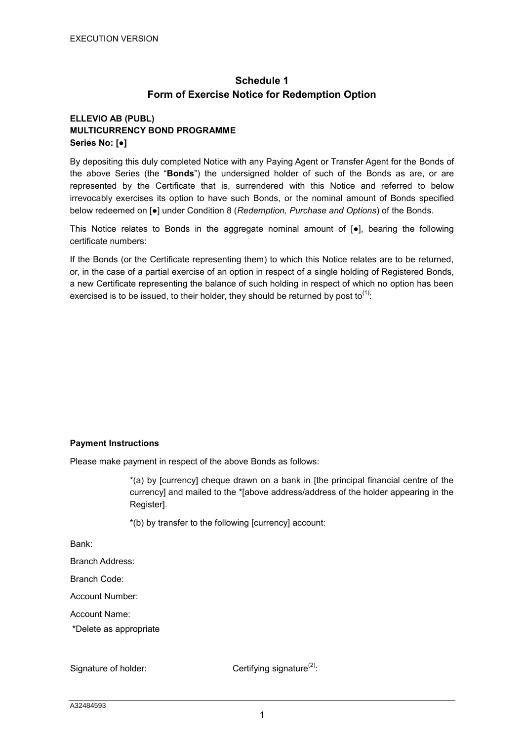# **Schedule 1 Form of Exercise Notice for Redemption Option**

# **ELLEVIO AB (PUBL) MULTICURRENCY BOND PROGRAMME Series No: [●]**

By depositing this duly completed Notice with any Paying Agent or Transfer Agent for the Bonds of the above Series (the "**Bonds**") the undersigned holder of such of the Bonds as are, or are represented by the Certificate that is, surrendered with this Notice and referred to below irrevocably exercises its option to have such Bonds, or the nominal amount of Bonds specified below redeemed on [●] under Condition 8 (*Redemption, Purchase and Options*) of the Bonds.

This Notice relates to Bonds in the aggregate nominal amount of  $\bullet$ ], bearing the following certificate numbers:

If the Bonds (or the Certificate representing them) to which this Notice relates are to be returned, or, in the case of a partial exercise of an option in respect of a single holding of Registered Bonds, a new Certificate representing the balance of such holding in respect of which no option has been exercised is to be issued, to their holder, they should be returned by post to<sup>(1)</sup>:

#### **Payment Instructions**

Please make payment in respect of the above Bonds as follows:

\*(a) by [currency] cheque drawn on a bank in [the principal financial centre of the currency] and mailed to the \*[above address/address of the holder appearing in the Register].

\*(b) by transfer to the following [currency] account:

Bank:

Branch Address:

Branch Code:

Account Number:

Account Name:

\*Delete as appropriate

Signature of holder:  $C$  Certifying signature<sup>(2)</sup>: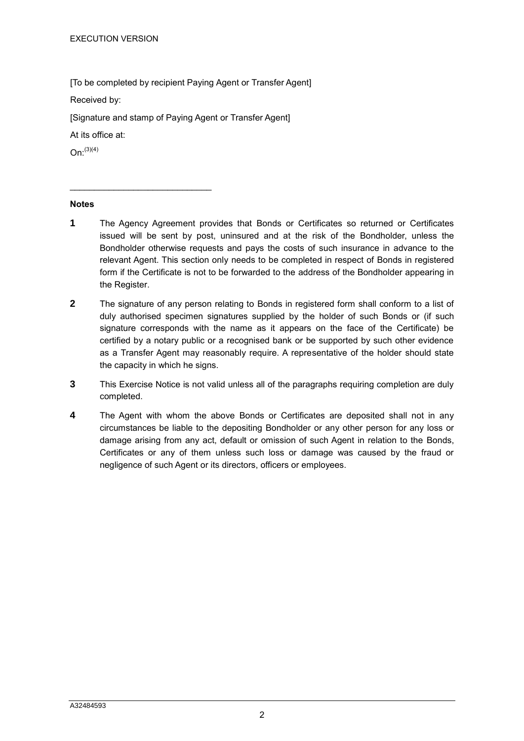[To be completed by recipient Paying Agent or Transfer Agent]

Received by:

[Signature and stamp of Paying Agent or Transfer Agent]

At its office at:

\_\_\_\_\_\_\_\_\_\_\_\_\_\_\_\_\_\_\_\_\_\_\_\_\_\_\_\_\_

 $On: ^{(3)(4)}$ 

#### **Notes**

- **1** The Agency Agreement provides that Bonds or Certificates so returned or Certificates issued will be sent by post, uninsured and at the risk of the Bondholder, unless the Bondholder otherwise requests and pays the costs of such insurance in advance to the relevant Agent. This section only needs to be completed in respect of Bonds in registered form if the Certificate is not to be forwarded to the address of the Bondholder appearing in the Register.
- **2** The signature of any person relating to Bonds in registered form shall conform to a list of duly authorised specimen signatures supplied by the holder of such Bonds or (if such signature corresponds with the name as it appears on the face of the Certificate) be certified by a notary public or a recognised bank or be supported by such other evidence as a Transfer Agent may reasonably require. A representative of the holder should state the capacity in which he signs.
- **3** This Exercise Notice is not valid unless all of the paragraphs requiring completion are duly completed.
- **4** The Agent with whom the above Bonds or Certificates are deposited shall not in any circumstances be liable to the depositing Bondholder or any other person for any loss or damage arising from any act, default or omission of such Agent in relation to the Bonds, Certificates or any of them unless such loss or damage was caused by the fraud or negligence of such Agent or its directors, officers or employees.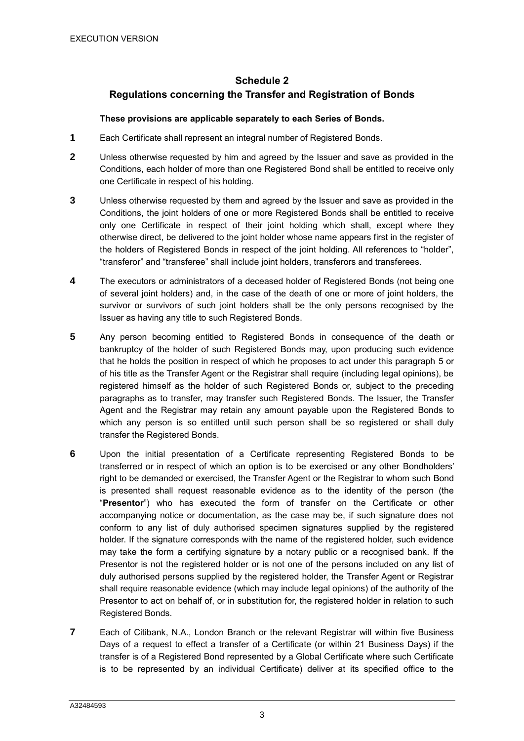# **Schedule 2 Regulations concerning the Transfer and Registration of Bonds**

#### **These provisions are applicable separately to each Series of Bonds.**

- **1** Each Certificate shall represent an integral number of Registered Bonds.
- **2** Unless otherwise requested by him and agreed by the Issuer and save as provided in the Conditions, each holder of more than one Registered Bond shall be entitled to receive only one Certificate in respect of his holding.
- **3** Unless otherwise requested by them and agreed by the Issuer and save as provided in the Conditions, the joint holders of one or more Registered Bonds shall be entitled to receive only one Certificate in respect of their joint holding which shall, except where they otherwise direct, be delivered to the joint holder whose name appears first in the register of the holders of Registered Bonds in respect of the joint holding. All references to "holder", "transferor" and "transferee" shall include joint holders, transferors and transferees.
- **4** The executors or administrators of a deceased holder of Registered Bonds (not being one of several joint holders) and, in the case of the death of one or more of joint holders, the survivor or survivors of such joint holders shall be the only persons recognised by the Issuer as having any title to such Registered Bonds.
- **5** Any person becoming entitled to Registered Bonds in consequence of the death or bankruptcy of the holder of such Registered Bonds may, upon producing such evidence that he holds the position in respect of which he proposes to act under this paragraph 5 or of his title as the Transfer Agent or the Registrar shall require (including legal opinions), be registered himself as the holder of such Registered Bonds or, subject to the preceding paragraphs as to transfer, may transfer such Registered Bonds. The Issuer, the Transfer Agent and the Registrar may retain any amount payable upon the Registered Bonds to which any person is so entitled until such person shall be so registered or shall duly transfer the Registered Bonds.
- **6** Upon the initial presentation of a Certificate representing Registered Bonds to be transferred or in respect of which an option is to be exercised or any other Bondholders' right to be demanded or exercised, the Transfer Agent or the Registrar to whom such Bond is presented shall request reasonable evidence as to the identity of the person (the "**Presentor**") who has executed the form of transfer on the Certificate or other accompanying notice or documentation, as the case may be, if such signature does not conform to any list of duly authorised specimen signatures supplied by the registered holder. If the signature corresponds with the name of the registered holder, such evidence may take the form a certifying signature by a notary public or a recognised bank. If the Presentor is not the registered holder or is not one of the persons included on any list of duly authorised persons supplied by the registered holder, the Transfer Agent or Registrar shall require reasonable evidence (which may include legal opinions) of the authority of the Presentor to act on behalf of, or in substitution for, the registered holder in relation to such Registered Bonds.
- **7** Each of Citibank, N.A., London Branch or the relevant Registrar will within five Business Days of a request to effect a transfer of a Certificate (or within 21 Business Days) if the transfer is of a Registered Bond represented by a Global Certificate where such Certificate is to be represented by an individual Certificate) deliver at its specified office to the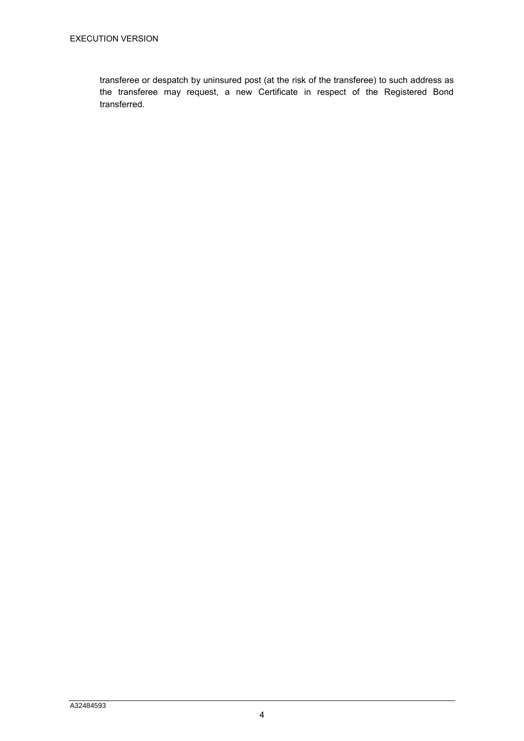transferee or despatch by uninsured post (at the risk of the transferee) to such address as the transferee may request, a new Certificate in respect of the Registered Bond transferred.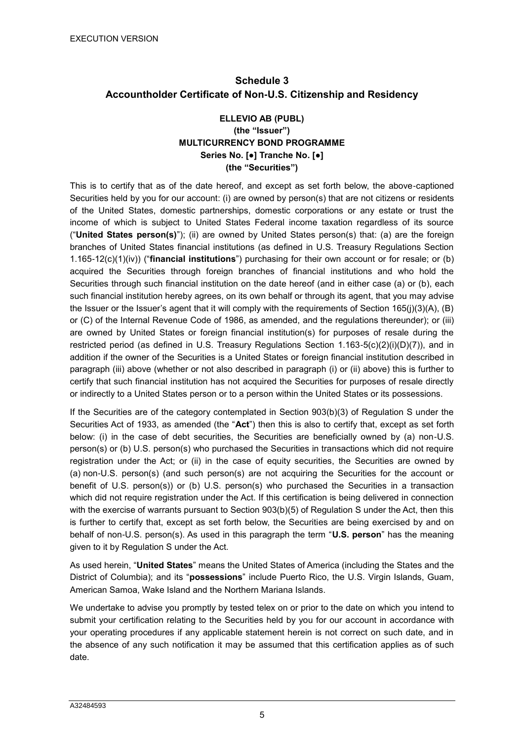# **Schedule 3 Accountholder Certificate of Non-U.S. Citizenship and Residency**

## **ELLEVIO AB (PUBL) (the "Issuer") MULTICURRENCY BOND PROGRAMME Series No. [●] Tranche No. [●] (the "Securities")**

This is to certify that as of the date hereof, and except as set forth below, the above-captioned Securities held by you for our account: (i) are owned by person(s) that are not citizens or residents of the United States, domestic partnerships, domestic corporations or any estate or trust the income of which is subject to United States Federal income taxation regardless of its source ("**United States person(s)**"); (ii) are owned by United States person(s) that: (a) are the foreign branches of United States financial institutions (as defined in U.S. Treasury Regulations Section 1.165-12(c)(1)(iv)) ("**financial institutions**") purchasing for their own account or for resale; or (b) acquired the Securities through foreign branches of financial institutions and who hold the Securities through such financial institution on the date hereof (and in either case (a) or (b), each such financial institution hereby agrees, on its own behalf or through its agent, that you may advise the Issuer or the Issuer's agent that it will comply with the requirements of Section 165(j)(3)(A), (B) or (C) of the Internal Revenue Code of 1986, as amended, and the regulations thereunder); or (iii) are owned by United States or foreign financial institution(s) for purposes of resale during the restricted period (as defined in U.S. Treasury Regulations Section 1.163-5(c)(2)(i)(D)(7)), and in addition if the owner of the Securities is a United States or foreign financial institution described in paragraph (iii) above (whether or not also described in paragraph (i) or (ii) above) this is further to certify that such financial institution has not acquired the Securities for purposes of resale directly or indirectly to a United States person or to a person within the United States or its possessions.

If the Securities are of the category contemplated in Section 903(b)(3) of Regulation S under the Securities Act of 1933, as amended (the "**Act**") then this is also to certify that, except as set forth below: (i) in the case of debt securities, the Securities are beneficially owned by (a) non-U.S. person(s) or (b) U.S. person(s) who purchased the Securities in transactions which did not require registration under the Act; or (ii) in the case of equity securities, the Securities are owned by (a) non-U.S. person(s) (and such person(s) are not acquiring the Securities for the account or benefit of U.S. person(s)) or (b) U.S. person(s) who purchased the Securities in a transaction which did not require registration under the Act. If this certification is being delivered in connection with the exercise of warrants pursuant to Section 903(b)(5) of Regulation S under the Act, then this is further to certify that, except as set forth below, the Securities are being exercised by and on behalf of non-U.S. person(s). As used in this paragraph the term "**U.S. person**" has the meaning given to it by Regulation S under the Act.

As used herein, "**United States**" means the United States of America (including the States and the District of Columbia); and its "**possessions**" include Puerto Rico, the U.S. Virgin Islands, Guam, American Samoa, Wake Island and the Northern Mariana Islands.

We undertake to advise you promptly by tested telex on or prior to the date on which you intend to submit your certification relating to the Securities held by you for our account in accordance with your operating procedures if any applicable statement herein is not correct on such date, and in the absence of any such notification it may be assumed that this certification applies as of such date.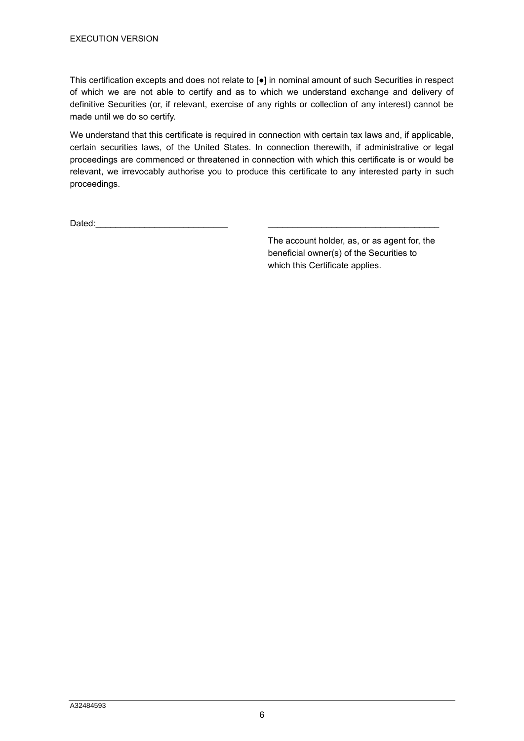This certification excepts and does not relate to [●] in nominal amount of such Securities in respect of which we are not able to certify and as to which we understand exchange and delivery of definitive Securities (or, if relevant, exercise of any rights or collection of any interest) cannot be made until we do so certify.

We understand that this certificate is required in connection with certain tax laws and, if applicable, certain securities laws, of the United States. In connection therewith, if administrative or legal proceedings are commenced or threatened in connection with which this certificate is or would be relevant, we irrevocably authorise you to produce this certificate to any interested party in such proceedings.

Dated:\_\_\_\_\_\_\_\_\_\_\_\_\_\_\_\_\_\_\_\_\_\_\_\_\_\_\_ \_\_\_\_\_\_\_\_\_\_\_\_\_\_\_\_\_\_\_\_\_\_\_\_\_\_\_\_\_\_\_\_\_\_\_

The account holder, as, or as agent for, the beneficial owner(s) of the Securities to which this Certificate applies.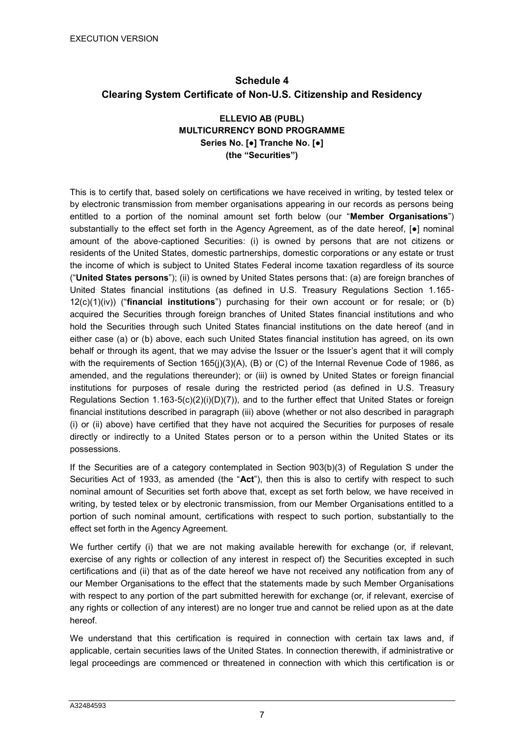# **Schedule 4 Clearing System Certificate of Non-U.S. Citizenship and Residency**

# **ELLEVIO AB (PUBL) MULTICURRENCY BOND PROGRAMME Series No. [●] Tranche No. [●] (the "Securities")**

This is to certify that, based solely on certifications we have received in writing, by tested telex or by electronic transmission from member organisations appearing in our records as persons being entitled to a portion of the nominal amount set forth below (our "**Member Organisations**") substantially to the effect set forth in the Agency Agreement, as of the date hereof,  $\bullet$  nominal amount of the above-captioned Securities: (i) is owned by persons that are not citizens or residents of the United States, domestic partnerships, domestic corporations or any estate or trust the income of which is subject to United States Federal income taxation regardless of its source ("**United States persons**"); (ii) is owned by United States persons that: (a) are foreign branches of United States financial institutions (as defined in U.S. Treasury Regulations Section 1.165- 12(c)(1)(iv)) ("**financial institutions**") purchasing for their own account or for resale; or (b) acquired the Securities through foreign branches of United States financial institutions and who hold the Securities through such United States financial institutions on the date hereof (and in either case (a) or (b) above, each such United States financial institution has agreed, on its own behalf or through its agent, that we may advise the Issuer or the Issuer's agent that it will comply with the requirements of Section 165(j)(3)(A), (B) or (C) of the Internal Revenue Code of 1986, as amended, and the regulations thereunder); or (iii) is owned by United States or foreign financial institutions for purposes of resale during the restricted period (as defined in U.S. Treasury Regulations Section  $1.163-5(c)(2)(i)(D)(7)$ , and to the further effect that United States or foreign financial institutions described in paragraph (iii) above (whether or not also described in paragraph (i) or (ii) above) have certified that they have not acquired the Securities for purposes of resale directly or indirectly to a United States person or to a person within the United States or its possessions.

If the Securities are of a category contemplated in Section 903(b)(3) of Regulation S under the Securities Act of 1933, as amended (the "**Act**"), then this is also to certify with respect to such nominal amount of Securities set forth above that, except as set forth below, we have received in writing, by tested telex or by electronic transmission, from our Member Organisations entitled to a portion of such nominal amount, certifications with respect to such portion, substantially to the effect set forth in the Agency Agreement.

We further certify (i) that we are not making available herewith for exchange (or, if relevant, exercise of any rights or collection of any interest in respect of) the Securities excepted in such certifications and (ii) that as of the date hereof we have not received any notification from any of our Member Organisations to the effect that the statements made by such Member Organisations with respect to any portion of the part submitted herewith for exchange (or, if relevant, exercise of any rights or collection of any interest) are no longer true and cannot be relied upon as at the date hereof.

We understand that this certification is required in connection with certain tax laws and, if applicable, certain securities laws of the United States. In connection therewith, if administrative or legal proceedings are commenced or threatened in connection with which this certification is or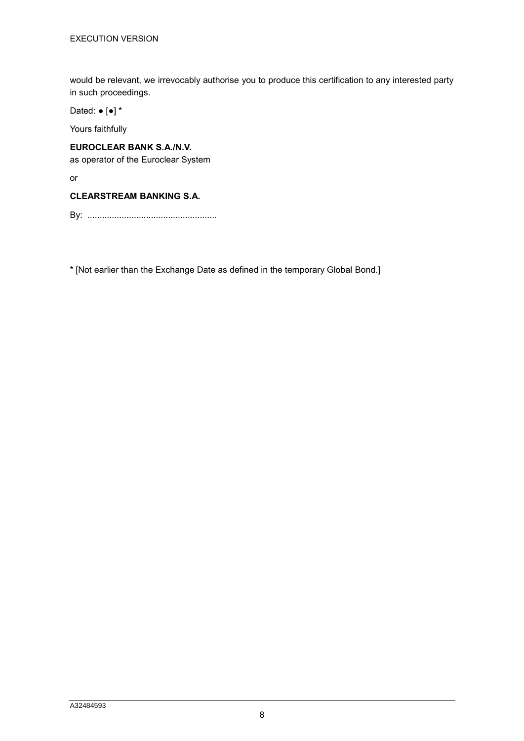would be relevant, we irrevocably authorise you to produce this certification to any interested party in such proceedings.

Dated: ● [●] \*

Yours faithfully

# **EUROCLEAR BANK S.A./N.V.**

as operator of the Euroclear System

or

#### **CLEARSTREAM BANKING S.A.**

By: .....................................................

\* [Not earlier than the Exchange Date as defined in the temporary Global Bond.]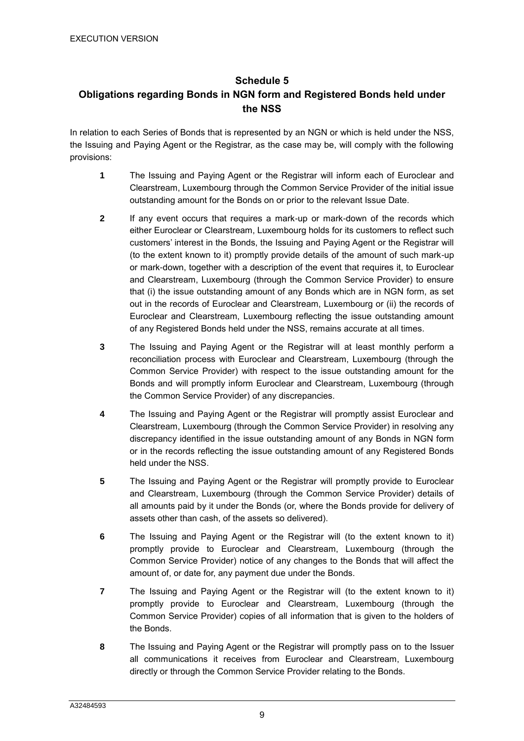# **Schedule 5 Obligations regarding Bonds in NGN form and Registered Bonds held under the NSS**

In relation to each Series of Bonds that is represented by an NGN or which is held under the NSS, the Issuing and Paying Agent or the Registrar, as the case may be, will comply with the following provisions:

- **1** The Issuing and Paying Agent or the Registrar will inform each of Euroclear and Clearstream, Luxembourg through the Common Service Provider of the initial issue outstanding amount for the Bonds on or prior to the relevant Issue Date.
- **2** If any event occurs that requires a mark-up or mark-down of the records which either Euroclear or Clearstream, Luxembourg holds for its customers to reflect such customers' interest in the Bonds, the Issuing and Paying Agent or the Registrar will (to the extent known to it) promptly provide details of the amount of such mark-up or mark-down, together with a description of the event that requires it, to Euroclear and Clearstream, Luxembourg (through the Common Service Provider) to ensure that (i) the issue outstanding amount of any Bonds which are in NGN form, as set out in the records of Euroclear and Clearstream, Luxembourg or (ii) the records of Euroclear and Clearstream, Luxembourg reflecting the issue outstanding amount of any Registered Bonds held under the NSS, remains accurate at all times.
- **3** The Issuing and Paying Agent or the Registrar will at least monthly perform a reconciliation process with Euroclear and Clearstream, Luxembourg (through the Common Service Provider) with respect to the issue outstanding amount for the Bonds and will promptly inform Euroclear and Clearstream, Luxembourg (through the Common Service Provider) of any discrepancies.
- **4** The Issuing and Paying Agent or the Registrar will promptly assist Euroclear and Clearstream, Luxembourg (through the Common Service Provider) in resolving any discrepancy identified in the issue outstanding amount of any Bonds in NGN form or in the records reflecting the issue outstanding amount of any Registered Bonds held under the NSS.
- **5** The Issuing and Paying Agent or the Registrar will promptly provide to Euroclear and Clearstream, Luxembourg (through the Common Service Provider) details of all amounts paid by it under the Bonds (or, where the Bonds provide for delivery of assets other than cash, of the assets so delivered).
- **6** The Issuing and Paying Agent or the Registrar will (to the extent known to it) promptly provide to Euroclear and Clearstream, Luxembourg (through the Common Service Provider) notice of any changes to the Bonds that will affect the amount of, or date for, any payment due under the Bonds.
- **7** The Issuing and Paying Agent or the Registrar will (to the extent known to it) promptly provide to Euroclear and Clearstream, Luxembourg (through the Common Service Provider) copies of all information that is given to the holders of the Bonds.
- **8** The Issuing and Paying Agent or the Registrar will promptly pass on to the Issuer all communications it receives from Euroclear and Clearstream, Luxembourg directly or through the Common Service Provider relating to the Bonds.